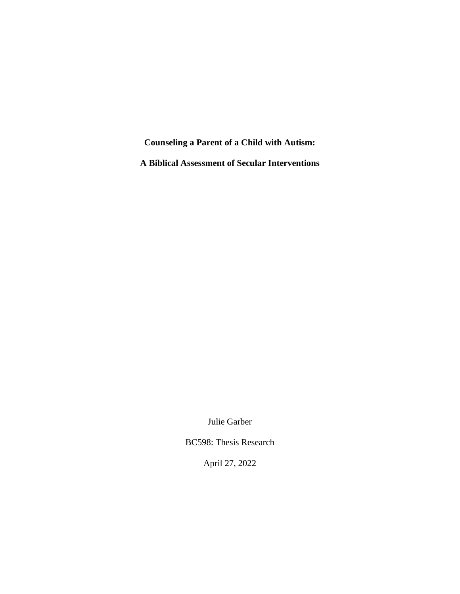**Counseling a Parent of a Child with Autism:** 

**A Biblical Assessment of Secular Interventions**

Julie Garber

BC598: Thesis Research

April 27, 2022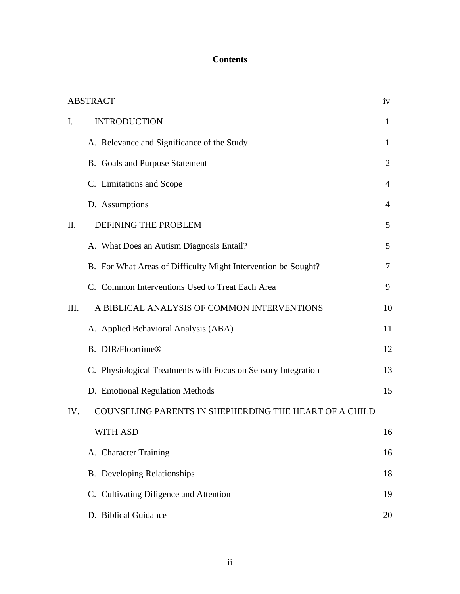## **Contents**

|                | <b>ABSTRACT</b>                                               | iv             |
|----------------|---------------------------------------------------------------|----------------|
| $\mathbf{I}$ . | <b>INTRODUCTION</b>                                           | $\mathbf{1}$   |
|                | A. Relevance and Significance of the Study                    | $\mathbf{1}$   |
|                | B. Goals and Purpose Statement                                | 2              |
|                | C. Limitations and Scope                                      | $\overline{4}$ |
|                | D. Assumptions                                                | $\overline{4}$ |
| II.            | DEFINING THE PROBLEM                                          | 5              |
|                | A. What Does an Autism Diagnosis Entail?                      | 5              |
|                | B. For What Areas of Difficulty Might Intervention be Sought? | $\tau$         |
|                | C. Common Interventions Used to Treat Each Area               | 9              |
| III.           | A BIBLICAL ANALYSIS OF COMMON INTERVENTIONS                   | 10             |
|                | A. Applied Behavioral Analysis (ABA)                          | 11             |
|                | <b>B.</b> DIR/Floortime®                                      | 12             |
|                | C. Physiological Treatments with Focus on Sensory Integration | 13             |
|                | D. Emotional Regulation Methods                               | 15             |
| IV.            | COUNSELING PARENTS IN SHEPHERDING THE HEART OF A CHILD        |                |
|                | WITH ASD                                                      | 16             |
|                | A. Character Training                                         | 16             |
|                | <b>B.</b> Developing Relationships                            | 18             |
|                | C. Cultivating Diligence and Attention                        | 19             |
|                | D. Biblical Guidance                                          | 20             |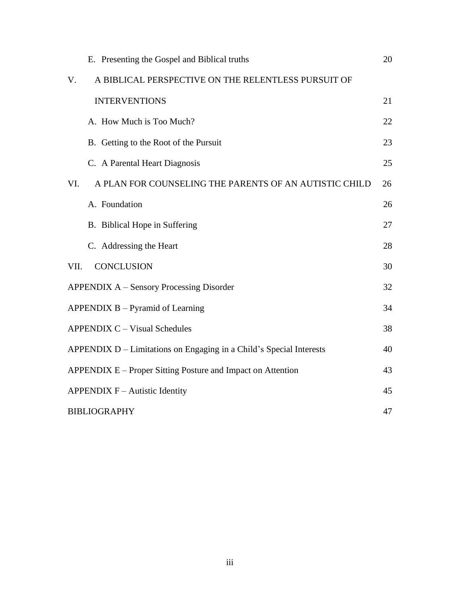|                                                                     | E. Presenting the Gospel and Biblical truths           | 20 |  |
|---------------------------------------------------------------------|--------------------------------------------------------|----|--|
| V.                                                                  | A BIBLICAL PERSPECTIVE ON THE RELENTLESS PURSUIT OF    |    |  |
|                                                                     | <b>INTERVENTIONS</b>                                   | 21 |  |
|                                                                     | A. How Much is Too Much?                               | 22 |  |
|                                                                     | B. Getting to the Root of the Pursuit                  | 23 |  |
|                                                                     | C. A Parental Heart Diagnosis                          | 25 |  |
| VI.                                                                 | A PLAN FOR COUNSELING THE PARENTS OF AN AUTISTIC CHILD | 26 |  |
|                                                                     | A. Foundation                                          | 26 |  |
|                                                                     | B. Biblical Hope in Suffering                          | 27 |  |
|                                                                     | C. Addressing the Heart                                | 28 |  |
| VII.                                                                | <b>CONCLUSION</b>                                      | 30 |  |
| <b>APPENDIX A – Sensory Processing Disorder</b>                     |                                                        |    |  |
| APPENDIX $B - Pyramid$ of Learning                                  |                                                        |    |  |
| <b>APPENDIX C - Visual Schedules</b><br>38                          |                                                        |    |  |
| APPENDIX D – Limitations on Engaging in a Child's Special Interests |                                                        |    |  |
| APPENDIX E – Proper Sitting Posture and Impact on Attention         |                                                        |    |  |
| APPENDIX $F -$ Autistic Identity                                    |                                                        |    |  |
|                                                                     | <b>BIBLIOGRAPHY</b>                                    |    |  |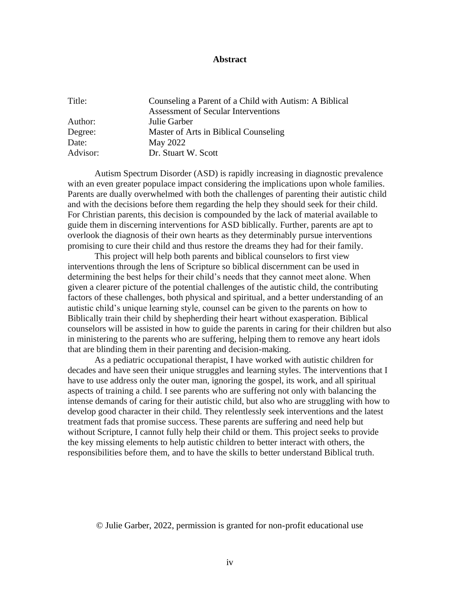## **Abstract**

| Title:   | Counseling a Parent of a Child with Autism: A Biblical |
|----------|--------------------------------------------------------|
|          | Assessment of Secular Interventions                    |
| Author:  | Julie Garber                                           |
| Degree:  | Master of Arts in Biblical Counseling                  |
| Date:    | May 2022                                               |
| Advisor: | Dr. Stuart W. Scott                                    |

Autism Spectrum Disorder (ASD) is rapidly increasing in diagnostic prevalence with an even greater populace impact considering the implications upon whole families. Parents are dually overwhelmed with both the challenges of parenting their autistic child and with the decisions before them regarding the help they should seek for their child. For Christian parents, this decision is compounded by the lack of material available to guide them in discerning interventions for ASD biblically. Further, parents are apt to overlook the diagnosis of their own hearts as they determinably pursue interventions promising to cure their child and thus restore the dreams they had for their family.

This project will help both parents and biblical counselors to first view interventions through the lens of Scripture so biblical discernment can be used in determining the best helps for their child's needs that they cannot meet alone. When given a clearer picture of the potential challenges of the autistic child, the contributing factors of these challenges, both physical and spiritual, and a better understanding of an autistic child's unique learning style, counsel can be given to the parents on how to Biblically train their child by shepherding their heart without exasperation. Biblical counselors will be assisted in how to guide the parents in caring for their children but also in ministering to the parents who are suffering, helping them to remove any heart idols that are blinding them in their parenting and decision-making.

As a pediatric occupational therapist, I have worked with autistic children for decades and have seen their unique struggles and learning styles. The interventions that I have to use address only the outer man, ignoring the gospel, its work, and all spiritual aspects of training a child. I see parents who are suffering not only with balancing the intense demands of caring for their autistic child, but also who are struggling with how to develop good character in their child. They relentlessly seek interventions and the latest treatment fads that promise success. These parents are suffering and need help but without Scripture, I cannot fully help their child or them. This project seeks to provide the key missing elements to help autistic children to better interact with others, the responsibilities before them, and to have the skills to better understand Biblical truth.

## © Julie Garber, 2022, permission is granted for non-profit educational use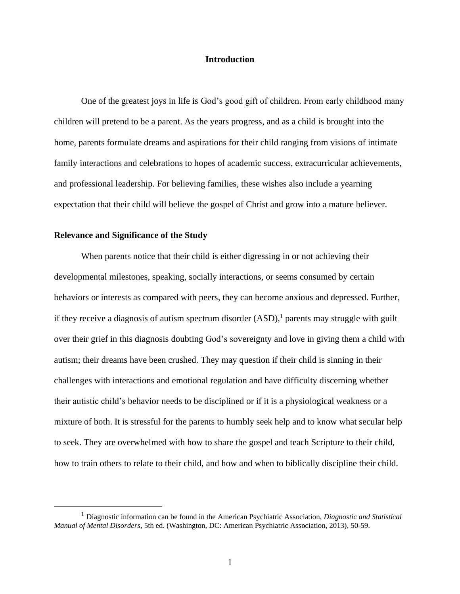## **Introduction**

One of the greatest joys in life is God's good gift of children. From early childhood many children will pretend to be a parent. As the years progress, and as a child is brought into the home, parents formulate dreams and aspirations for their child ranging from visions of intimate family interactions and celebrations to hopes of academic success, extracurricular achievements, and professional leadership. For believing families, these wishes also include a yearning expectation that their child will believe the gospel of Christ and grow into a mature believer.

## **Relevance and Significance of the Study**

When parents notice that their child is either digressing in or not achieving their developmental milestones, speaking, socially interactions, or seems consumed by certain behaviors or interests as compared with peers, they can become anxious and depressed. Further, if they receive a diagnosis of autism spectrum disorder  $(ASD)$ , parents may struggle with guilt over their grief in this diagnosis doubting God's sovereignty and love in giving them a child with autism; their dreams have been crushed. They may question if their child is sinning in their challenges with interactions and emotional regulation and have difficulty discerning whether their autistic child's behavior needs to be disciplined or if it is a physiological weakness or a mixture of both. It is stressful for the parents to humbly seek help and to know what secular help to seek. They are overwhelmed with how to share the gospel and teach Scripture to their child, how to train others to relate to their child, and how and when to biblically discipline their child.

<sup>1</sup> Diagnostic information can be found in the American Psychiatric Association, *Diagnostic and Statistical Manual of Mental Disorders*, 5th ed. (Washington, DC: American Psychiatric Association, 2013), 50-59.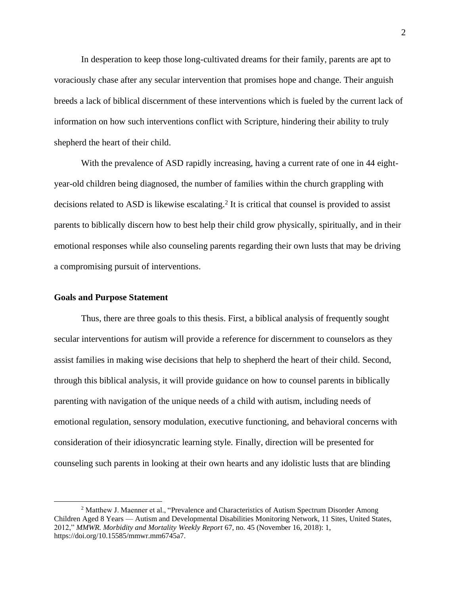In desperation to keep those long-cultivated dreams for their family, parents are apt to voraciously chase after any secular intervention that promises hope and change. Their anguish breeds a lack of biblical discernment of these interventions which is fueled by the current lack of information on how such interventions conflict with Scripture, hindering their ability to truly shepherd the heart of their child.

With the prevalence of ASD rapidly increasing, having a current rate of one in 44 eightyear-old children being diagnosed, the number of families within the church grappling with decisions related to ASD is likewise escalating. 2 It is critical that counsel is provided to assist parents to biblically discern how to best help their child grow physically, spiritually, and in their emotional responses while also counseling parents regarding their own lusts that may be driving a compromising pursuit of interventions.

#### **Goals and Purpose Statement**

Thus, there are three goals to this thesis. First, a biblical analysis of frequently sought secular interventions for autism will provide a reference for discernment to counselors as they assist families in making wise decisions that help to shepherd the heart of their child. Second, through this biblical analysis, it will provide guidance on how to counsel parents in biblically parenting with navigation of the unique needs of a child with autism, including needs of emotional regulation, sensory modulation, executive functioning, and behavioral concerns with consideration of their idiosyncratic learning style. Finally, direction will be presented for counseling such parents in looking at their own hearts and any idolistic lusts that are blinding

<sup>&</sup>lt;sup>2</sup> Matthew J. Maenner et al., "Prevalence and Characteristics of Autism Spectrum Disorder Among Children Aged 8 Years — Autism and Developmental Disabilities Monitoring Network, 11 Sites, United States, 2012," *MMWR. Morbidity and Mortality Weekly Report* 67, no. 45 (November 16, 2018): 1, https://doi.org/10.15585/mmwr.mm6745a7.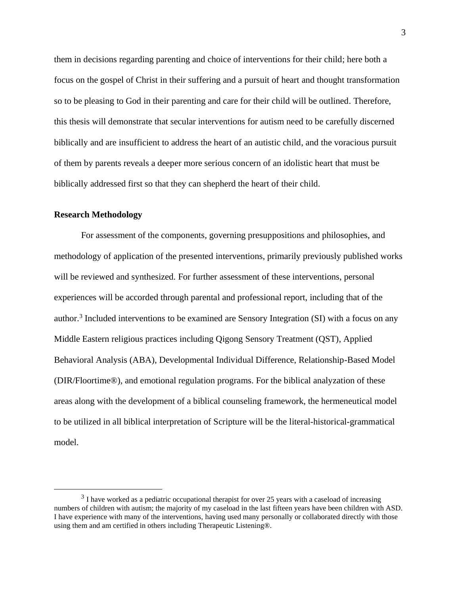them in decisions regarding parenting and choice of interventions for their child; here both a focus on the gospel of Christ in their suffering and a pursuit of heart and thought transformation so to be pleasing to God in their parenting and care for their child will be outlined. Therefore, this thesis will demonstrate that secular interventions for autism need to be carefully discerned biblically and are insufficient to address the heart of an autistic child, and the voracious pursuit of them by parents reveals a deeper more serious concern of an idolistic heart that must be biblically addressed first so that they can shepherd the heart of their child.

## **Research Methodology**

For assessment of the components, governing presuppositions and philosophies, and methodology of application of the presented interventions, primarily previously published works will be reviewed and synthesized. For further assessment of these interventions, personal experiences will be accorded through parental and professional report, including that of the author.<sup>3</sup> Included interventions to be examined are Sensory Integration (SI) with a focus on any Middle Eastern religious practices including Qigong Sensory Treatment (QST), Applied Behavioral Analysis (ABA), Developmental Individual Difference, Relationship-Based Model (DIR/Floortime®), and emotional regulation programs. For the biblical analyzation of these areas along with the development of a biblical counseling framework, the hermeneutical model to be utilized in all biblical interpretation of Scripture will be the literal-historical-grammatical model.

 $3$  I have worked as a pediatric occupational therapist for over 25 years with a caseload of increasing numbers of children with autism; the majority of my caseload in the last fifteen years have been children with ASD. I have experience with many of the interventions, having used many personally or collaborated directly with those using them and am certified in others including Therapeutic Listening®.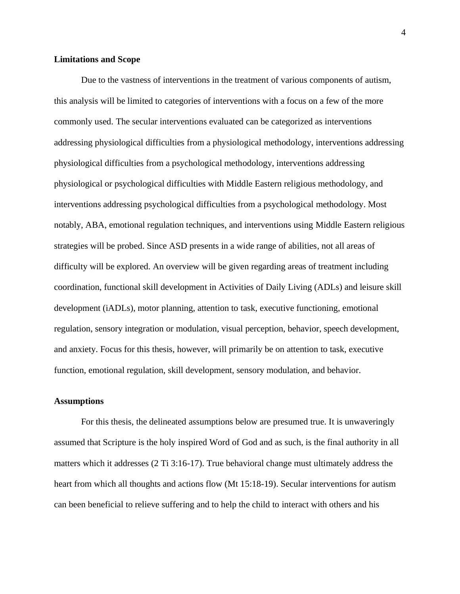#### **Limitations and Scope**

Due to the vastness of interventions in the treatment of various components of autism, this analysis will be limited to categories of interventions with a focus on a few of the more commonly used. The secular interventions evaluated can be categorized as interventions addressing physiological difficulties from a physiological methodology, interventions addressing physiological difficulties from a psychological methodology, interventions addressing physiological or psychological difficulties with Middle Eastern religious methodology, and interventions addressing psychological difficulties from a psychological methodology. Most notably, ABA, emotional regulation techniques, and interventions using Middle Eastern religious strategies will be probed. Since ASD presents in a wide range of abilities, not all areas of difficulty will be explored. An overview will be given regarding areas of treatment including coordination, functional skill development in Activities of Daily Living (ADLs) and leisure skill development (iADLs), motor planning, attention to task, executive functioning, emotional regulation, sensory integration or modulation, visual perception, behavior, speech development, and anxiety. Focus for this thesis, however, will primarily be on attention to task, executive function, emotional regulation, skill development, sensory modulation, and behavior.

#### **Assumptions**

For this thesis, the delineated assumptions below are presumed true. It is unwaveringly assumed that Scripture is the holy inspired Word of God and as such, is the final authority in all matters which it addresses (2 Ti 3:16-17). True behavioral change must ultimately address the heart from which all thoughts and actions flow (Mt 15:18-19). Secular interventions for autism can been beneficial to relieve suffering and to help the child to interact with others and his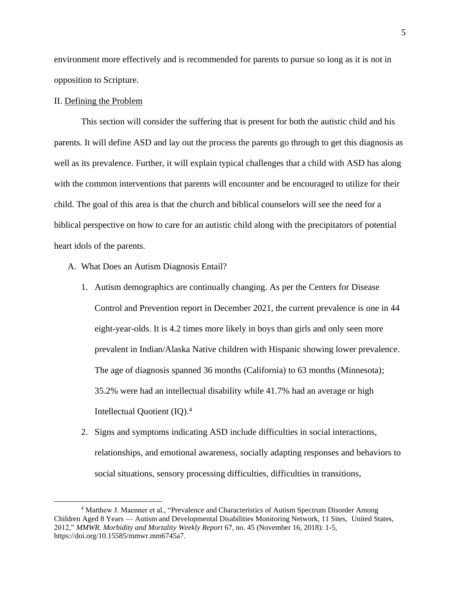environment more effectively and is recommended for parents to pursue so long as it is not in opposition to Scripture.

#### II. Defining the Problem

This section will consider the suffering that is present for both the autistic child and his parents. It will define ASD and lay out the process the parents go through to get this diagnosis as well as its prevalence. Further, it will explain typical challenges that a child with ASD has along with the common interventions that parents will encounter and be encouraged to utilize for their child. The goal of this area is that the church and biblical counselors will see the need for a biblical perspective on how to care for an autistic child along with the precipitators of potential heart idols of the parents.

- A. What Does an Autism Diagnosis Entail?
	- 1. Autism demographics are continually changing. As per the Centers for Disease Control and Prevention report in December 2021, the current prevalence is one in 44 eight-year-olds. It is 4.2 times more likely in boys than girls and only seen more prevalent in Indian/Alaska Native children with Hispanic showing lower prevalence. The age of diagnosis spanned 36 months (California) to 63 months (Minnesota); 35.2% were had an intellectual disability while 41.7% had an average or high Intellectual Quotient (IQ).<sup>4</sup>
	- 2. Signs and symptoms indicating ASD include difficulties in social interactions, relationships, and emotional awareness, socially adapting responses and behaviors to social situations, sensory processing difficulties, difficulties in transitions,

<sup>4</sup> Matthew J. Maenner et al., "Prevalence and Characteristics of Autism Spectrum Disorder Among Children Aged 8 Years — Autism and Developmental Disabilities Monitoring Network, 11 Sites, United States, 2012," *MMWR. Morbidity and Mortality Weekly Report* 67, no. 45 (November 16, 2018): 1-5, https://doi.org/10.15585/mmwr.mm6745a7.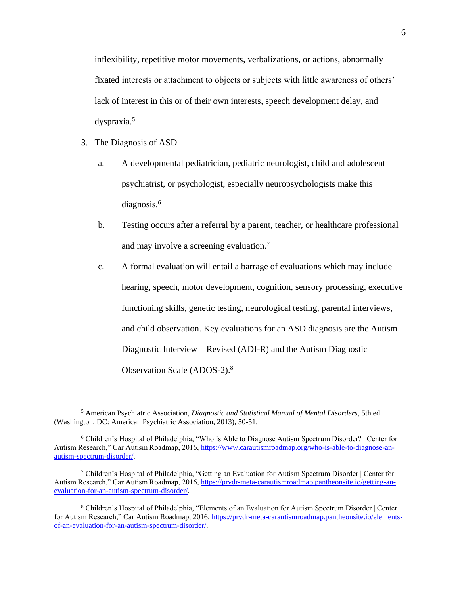inflexibility, repetitive motor movements, verbalizations, or actions, abnormally fixated interests or attachment to objects or subjects with little awareness of others' lack of interest in this or of their own interests, speech development delay, and dyspraxia. 5

- 3. The Diagnosis of ASD
	- a. A developmental pediatrician, pediatric neurologist, child and adolescent psychiatrist, or psychologist, especially neuropsychologists make this diagnosis. 6
	- b. Testing occurs after a referral by a parent, teacher, or healthcare professional and may involve a screening evaluation.<sup>7</sup>
	- c. A formal evaluation will entail a barrage of evaluations which may include hearing, speech, motor development, cognition, sensory processing, executive functioning skills, genetic testing, neurological testing, parental interviews, and child observation. Key evaluations for an ASD diagnosis are the Autism Diagnostic Interview – Revised (ADI-R) and the Autism Diagnostic Observation Scale (ADOS-2).<sup>8</sup>

<sup>5</sup> American Psychiatric Association, *Diagnostic and Statistical Manual of Mental Disorders*, 5th ed. (Washington, DC: American Psychiatric Association, 2013), 50-51.

<sup>6</sup> Children's Hospital of Philadelphia, "Who Is Able to Diagnose Autism Spectrum Disorder? | Center for Autism Research," Car Autism Roadmap, 2016, [https://www.carautismroadmap.org/who-is-able-to-diagnose-an](https://www.carautismroadmap.org/who-is-able-to-diagnose-an-autism-spectrum-disorder/)[autism-spectrum-disorder/.](https://www.carautismroadmap.org/who-is-able-to-diagnose-an-autism-spectrum-disorder/)

<sup>&</sup>lt;sup>7</sup> Children's Hospital of Philadelphia, "Getting an Evaluation for Autism Spectrum Disorder | Center for Autism Research," Car Autism Roadmap, 2016, [https://prvdr-meta-carautismroadmap.pantheonsite.io/getting-an](https://prvdr-meta-carautismroadmap.pantheonsite.io/getting-an-evaluation-for-an-autism-spectrum-disorder/)[evaluation-for-an-autism-spectrum-disorder/.](https://prvdr-meta-carautismroadmap.pantheonsite.io/getting-an-evaluation-for-an-autism-spectrum-disorder/)

<sup>8</sup> Children's Hospital of Philadelphia, "Elements of an Evaluation for Autism Spectrum Disorder | Center for Autism Research," Car Autism Roadmap, 2016, [https://prvdr-meta-carautismroadmap.pantheonsite.io/elements](https://prvdr-meta-carautismroadmap.pantheonsite.io/elements-of-an-evaluation-for-an-autism-spectrum-disorder/)[of-an-evaluation-for-an-autism-spectrum-disorder/.](https://prvdr-meta-carautismroadmap.pantheonsite.io/elements-of-an-evaluation-for-an-autism-spectrum-disorder/)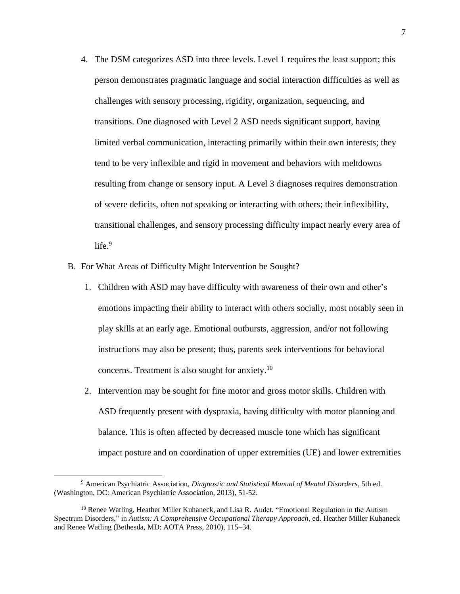- 4. The DSM categorizes ASD into three levels. Level 1 requires the least support; this person demonstrates pragmatic language and social interaction difficulties as well as challenges with sensory processing, rigidity, organization, sequencing, and transitions. One diagnosed with Level 2 ASD needs significant support, having limited verbal communication, interacting primarily within their own interests; they tend to be very inflexible and rigid in movement and behaviors with meltdowns resulting from change or sensory input. A Level 3 diagnoses requires demonstration of severe deficits, often not speaking or interacting with others; their inflexibility, transitional challenges, and sensory processing difficulty impact nearly every area of  $life.9$
- B. For What Areas of Difficulty Might Intervention be Sought?
	- 1. Children with ASD may have difficulty with awareness of their own and other's emotions impacting their ability to interact with others socially, most notably seen in play skills at an early age. Emotional outbursts, aggression, and/or not following instructions may also be present; thus, parents seek interventions for behavioral concerns. Treatment is also sought for anxiety.<sup>10</sup>
	- 2. Intervention may be sought for fine motor and gross motor skills. Children with ASD frequently present with dyspraxia, having difficulty with motor planning and balance. This is often affected by decreased muscle tone which has significant impact posture and on coordination of upper extremities (UE) and lower extremities

<sup>9</sup> American Psychiatric Association, *Diagnostic and Statistical Manual of Mental Disorders*, 5th ed. (Washington, DC: American Psychiatric Association, 2013), 51-52.

<sup>&</sup>lt;sup>10</sup> Renee Watling, Heather Miller Kuhaneck, and Lisa R. Audet, "Emotional Regulation in the Autism" Spectrum Disorders," in *Autism: A Comprehensive Occupational Therapy Approach*, ed. Heather Miller Kuhaneck and Renee Watling (Bethesda, MD: AOTA Press, 2010), 115–34.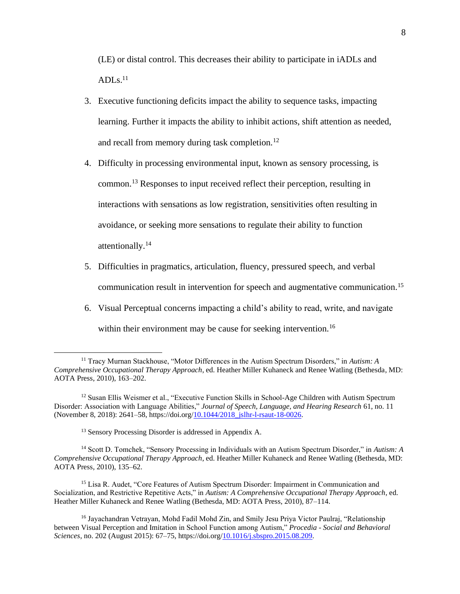(LE) or distal control. This decreases their ability to participate in iADLs and  $ADLs.<sup>11</sup>$ 

- 3. Executive functioning deficits impact the ability to sequence tasks, impacting learning. Further it impacts the ability to inhibit actions, shift attention as needed, and recall from memory during task completion.<sup>12</sup>
- 4. Difficulty in processing environmental input, known as sensory processing, is common. <sup>13</sup> Responses to input received reflect their perception, resulting in interactions with sensations as low registration, sensitivities often resulting in avoidance, or seeking more sensations to regulate their ability to function attentionally. 14
- 5. Difficulties in pragmatics, articulation, fluency, pressured speech, and verbal communication result in intervention for speech and augmentative communication. 15
- 6. Visual Perceptual concerns impacting a child's ability to read, write, and navigate within their environment may be cause for seeking intervention.<sup>16</sup>

<sup>13</sup> Sensory Processing Disorder is addressed in Appendix A.

<sup>14</sup> Scott D. Tomchek, "Sensory Processing in Individuals with an Autism Spectrum Disorder," in *Autism: A Comprehensive Occupational Therapy Approach*, ed. Heather Miller Kuhaneck and Renee Watling (Bethesda, MD: AOTA Press, 2010), 135–62.

<sup>15</sup> Lisa R. Audet, "Core Features of Autism Spectrum Disorder: Impairment in Communication and Socialization, and Restrictive Repetitive Acts," in *Autism: A Comprehensive Occupational Therapy Approach*, ed. Heather Miller Kuhaneck and Renee Watling (Bethesda, MD: AOTA Press, 2010), 87–114.

<sup>11</sup> Tracy Murnan Stackhouse, "Motor Differences in the Autism Spectrum Disorders," in *Autism: A Comprehensive Occupational Therapy Approach*, ed. Heather Miller Kuhaneck and Renee Watling (Bethesda, MD: AOTA Press, 2010), 163–202.

<sup>12</sup> Susan Ellis Weismer et al., "Executive Function Skills in School-Age Children with Autism Spectrum Disorder: Association with Language Abilities," *Journal of Speech, Language, and Hearing Research* 61, no. 11 (November 8, 2018): 2641–58, https://doi.org/<u>10.1044/2018\_jslhr-l-rsaut-18-0026</u>.

<sup>&</sup>lt;sup>16</sup> Jayachandran Vetrayan, Mohd Fadil Mohd Zin, and Smily Jesu Priya Victor Paulraj, "Relationship between Visual Perception and Imitation in School Function among Autism," *Procedia - Social and Behavioral Sciences*, no. 202 (August 2015): 67–75, https://doi.org[/10.1016/j.sbspro.2015.08.209.](https://www.mybib.com/10.1016/j.sbspro.2015.08.209)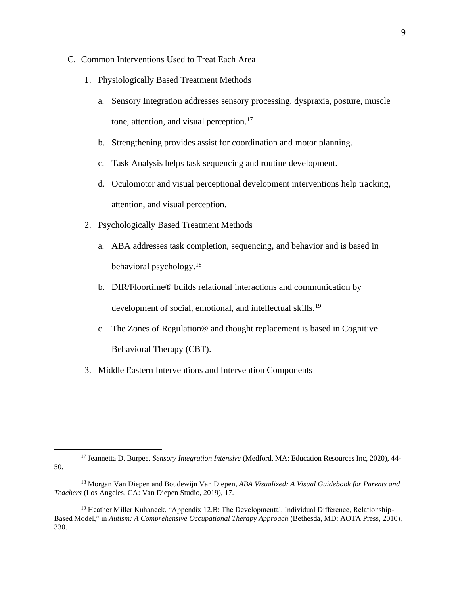- C. Common Interventions Used to Treat Each Area
	- 1. Physiologically Based Treatment Methods
		- a. Sensory Integration addresses sensory processing, dyspraxia, posture, muscle tone, attention, and visual perception.<sup>17</sup>
		- b. Strengthening provides assist for coordination and motor planning.
		- c. Task Analysis helps task sequencing and routine development.
		- d. Oculomotor and visual perceptional development interventions help tracking, attention, and visual perception.
	- 2. Psychologically Based Treatment Methods
		- a. ABA addresses task completion, sequencing, and behavior and is based in behavioral psychology.<sup>18</sup>
		- b. DIR/Floortime® builds relational interactions and communication by development of social, emotional, and intellectual skills.<sup>19</sup>
		- c. The Zones of Regulation® and thought replacement is based in Cognitive Behavioral Therapy (CBT).
	- 3. Middle Eastern Interventions and Intervention Components

<sup>17</sup> Jeannetta D. Burpee, *Sensory Integration Intensive* (Medford, MA: Education Resources Inc, 2020), 44- 50.

<sup>18</sup> Morgan Van Diepen and Boudewijn Van Diepen, *ABA Visualized: A Visual Guidebook for Parents and Teachers* (Los Angeles, CA: Van Diepen Studio, 2019), 17.

<sup>&</sup>lt;sup>19</sup> Heather Miller Kuhaneck, "Appendix 12.B: The Developmental, Individual Difference, Relationship-Based Model," in *Autism: A Comprehensive Occupational Therapy Approach* (Bethesda, MD: AOTA Press, 2010), 330.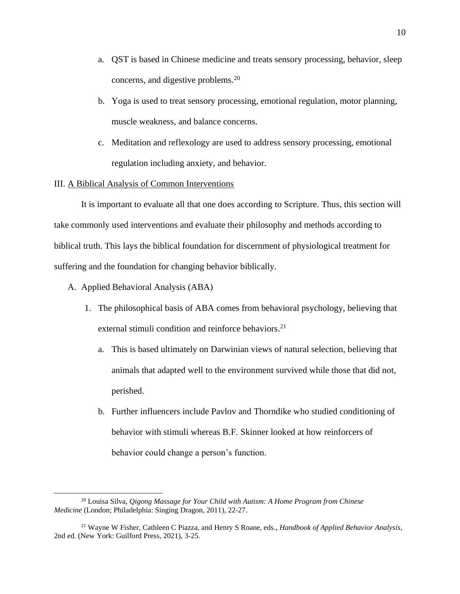- a. QST is based in Chinese medicine and treats sensory processing, behavior, sleep concerns, and digestive problems.<sup>20</sup>
- b. Yoga is used to treat sensory processing, emotional regulation, motor planning, muscle weakness, and balance concerns.
- c. Meditation and reflexology are used to address sensory processing, emotional regulation including anxiety, and behavior.

## III. A Biblical Analysis of Common Interventions

It is important to evaluate all that one does according to Scripture. Thus, this section will take commonly used interventions and evaluate their philosophy and methods according to biblical truth. This lays the biblical foundation for discernment of physiological treatment for suffering and the foundation for changing behavior biblically.

- A. Applied Behavioral Analysis (ABA)
	- 1. The philosophical basis of ABA comes from behavioral psychology, believing that external stimuli condition and reinforce behaviors.<sup>21</sup>
		- a. This is based ultimately on Darwinian views of natural selection, believing that animals that adapted well to the environment survived while those that did not, perished.
		- b. Further influencers include Pavlov and Thorndike who studied conditioning of behavior with stimuli whereas B.F. Skinner looked at how reinforcers of behavior could change a person's function.

<sup>20</sup> Louisa Silva, *Qigong Massage for Your Child with Autism: A Home Program from Chinese Medicine* (London; Philadelphia: Singing Dragon, 2011), 22-27.

<sup>21</sup> Wayne W Fisher, Cathleen C Piazza, and Henry S Roane, eds., *Handbook of Applied Behavior Analysis*, 2nd ed. (New York: Guilford Press, 2021), 3-25.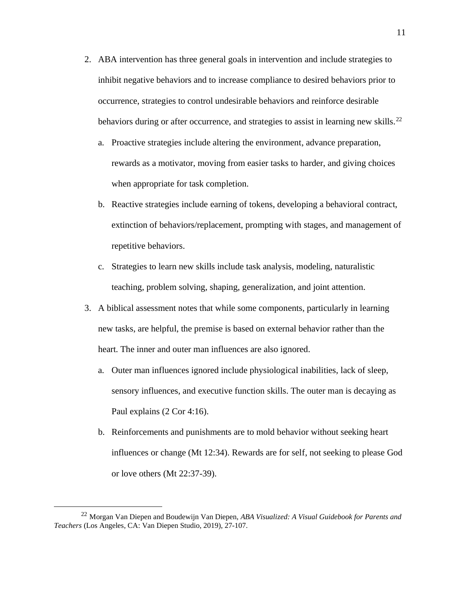- 2. ABA intervention has three general goals in intervention and include strategies to inhibit negative behaviors and to increase compliance to desired behaviors prior to occurrence, strategies to control undesirable behaviors and reinforce desirable behaviors during or after occurrence, and strategies to assist in learning new skills.<sup>22</sup>
	- a. Proactive strategies include altering the environment, advance preparation, rewards as a motivator, moving from easier tasks to harder, and giving choices when appropriate for task completion.
	- b. Reactive strategies include earning of tokens, developing a behavioral contract, extinction of behaviors/replacement, prompting with stages, and management of repetitive behaviors.
	- c. Strategies to learn new skills include task analysis, modeling, naturalistic teaching, problem solving, shaping, generalization, and joint attention.
- 3. A biblical assessment notes that while some components, particularly in learning new tasks, are helpful, the premise is based on external behavior rather than the heart. The inner and outer man influences are also ignored.
	- a. Outer man influences ignored include physiological inabilities, lack of sleep, sensory influences, and executive function skills. The outer man is decaying as Paul explains (2 Cor 4:16).
	- b. Reinforcements and punishments are to mold behavior without seeking heart influences or change (Mt 12:34). Rewards are for self, not seeking to please God or love others (Mt 22:37-39).

<sup>22</sup> Morgan Van Diepen and Boudewijn Van Diepen, *ABA Visualized: A Visual Guidebook for Parents and Teachers* (Los Angeles, CA: Van Diepen Studio, 2019), 27-107.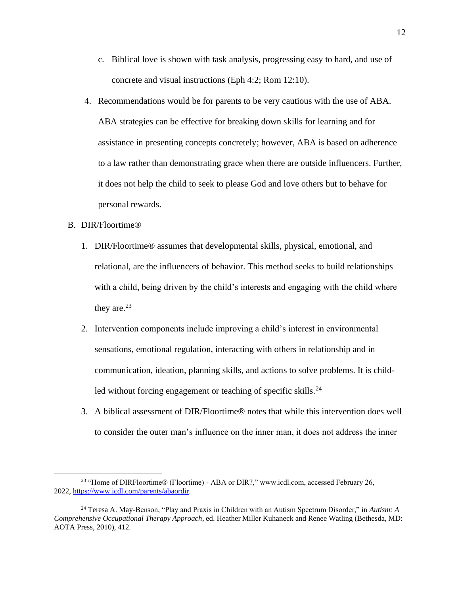- c. Biblical love is shown with task analysis, progressing easy to hard, and use of concrete and visual instructions (Eph 4:2; Rom 12:10).
- 4. Recommendations would be for parents to be very cautious with the use of ABA. ABA strategies can be effective for breaking down skills for learning and for assistance in presenting concepts concretely; however, ABA is based on adherence to a law rather than demonstrating grace when there are outside influencers. Further, it does not help the child to seek to please God and love others but to behave for personal rewards.

## B. DIR/Floortime®

- 1. DIR/Floortime® assumes that developmental skills, physical, emotional, and relational, are the influencers of behavior. This method seeks to build relationships with a child, being driven by the child's interests and engaging with the child where they are. $23$
- 2. Intervention components include improving a child's interest in environmental sensations, emotional regulation, interacting with others in relationship and in communication, ideation, planning skills, and actions to solve problems. It is childled without forcing engagement or teaching of specific skills.<sup>24</sup>
- 3. A biblical assessment of DIR/Floortime® notes that while this intervention does well to consider the outer man's influence on the inner man, it does not address the inner

<sup>&</sup>lt;sup>23</sup> "Home of DIRFloortime® (Floortime) - ABA or DIR?," www.icdl.com, accessed February 26, 2022, [https://www.icdl.com/parents/abaordir.](https://www.icdl.com/parents/abaordir)

<sup>24</sup> Teresa A. May-Benson, "Play and Praxis in Children with an Autism Spectrum Disorder," in *Autism: A Comprehensive Occupational Therapy Approach*, ed. Heather Miller Kuhaneck and Renee Watling (Bethesda, MD: AOTA Press, 2010), 412.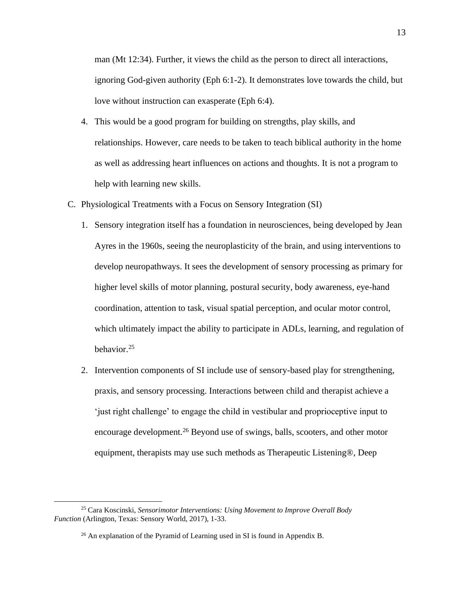man (Mt 12:34). Further, it views the child as the person to direct all interactions, ignoring God-given authority (Eph 6:1-2). It demonstrates love towards the child, but love without instruction can exasperate (Eph 6:4).

- 4. This would be a good program for building on strengths, play skills, and relationships. However, care needs to be taken to teach biblical authority in the home as well as addressing heart influences on actions and thoughts. It is not a program to help with learning new skills.
- C. Physiological Treatments with a Focus on Sensory Integration (SI)
	- 1. Sensory integration itself has a foundation in neurosciences, being developed by Jean Ayres in the 1960s, seeing the neuroplasticity of the brain, and using interventions to develop neuropathways. It sees the development of sensory processing as primary for higher level skills of motor planning, postural security, body awareness, eye-hand coordination, attention to task, visual spatial perception, and ocular motor control, which ultimately impact the ability to participate in ADLs, learning, and regulation of behavior.<sup>25</sup>
	- 2. Intervention components of SI include use of sensory-based play for strengthening, praxis, and sensory processing. Interactions between child and therapist achieve a 'just right challenge' to engage the child in vestibular and proprioceptive input to encourage development.<sup>26</sup> Beyond use of swings, balls, scooters, and other motor equipment, therapists may use such methods as Therapeutic Listening®, Deep

<sup>25</sup> Cara Koscinski, *Sensorimotor Interventions: Using Movement to Improve Overall Body Function* (Arlington, Texas: Sensory World, 2017), 1-33.

 $26$  An explanation of the Pyramid of Learning used in SI is found in Appendix B.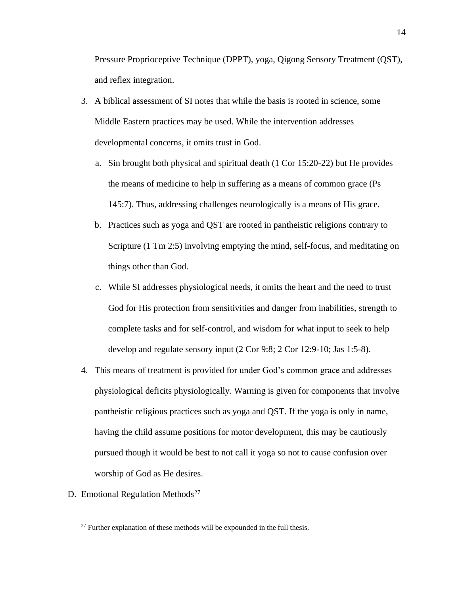Pressure Proprioceptive Technique (DPPT), yoga, Qigong Sensory Treatment (QST), and reflex integration.

- 3. A biblical assessment of SI notes that while the basis is rooted in science, some Middle Eastern practices may be used. While the intervention addresses developmental concerns, it omits trust in God.
	- a. Sin brought both physical and spiritual death (1 Cor 15:20-22) but He provides the means of medicine to help in suffering as a means of common grace (Ps 145:7). Thus, addressing challenges neurologically is a means of His grace.
	- b. Practices such as yoga and QST are rooted in pantheistic religions contrary to Scripture (1 Tm 2:5) involving emptying the mind, self-focus, and meditating on things other than God.
	- c. While SI addresses physiological needs, it omits the heart and the need to trust God for His protection from sensitivities and danger from inabilities, strength to complete tasks and for self-control, and wisdom for what input to seek to help develop and regulate sensory input (2 Cor 9:8; 2 Cor 12:9-10; Jas 1:5-8).
- 4. This means of treatment is provided for under God's common grace and addresses physiological deficits physiologically. Warning is given for components that involve pantheistic religious practices such as yoga and QST. If the yoga is only in name, having the child assume positions for motor development, this may be cautiously pursued though it would be best to not call it yoga so not to cause confusion over worship of God as He desires.
- D. Emotional Regulation Methods<sup>27</sup>

 $27$  Further explanation of these methods will be expounded in the full thesis.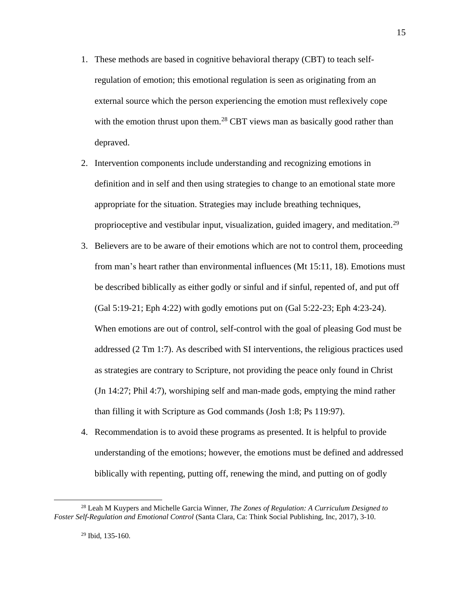- 1. These methods are based in cognitive behavioral therapy (CBT) to teach selfregulation of emotion; this emotional regulation is seen as originating from an external source which the person experiencing the emotion must reflexively cope with the emotion thrust upon them.<sup>28</sup> CBT views man as basically good rather than depraved.
- 2. Intervention components include understanding and recognizing emotions in definition and in self and then using strategies to change to an emotional state more appropriate for the situation. Strategies may include breathing techniques, proprioceptive and vestibular input, visualization, guided imagery, and meditation.<sup>29</sup>
- 3. Believers are to be aware of their emotions which are not to control them, proceeding from man's heart rather than environmental influences (Mt 15:11, 18). Emotions must be described biblically as either godly or sinful and if sinful, repented of, and put off (Gal 5:19-21; Eph 4:22) with godly emotions put on (Gal 5:22-23; Eph 4:23-24). When emotions are out of control, self-control with the goal of pleasing God must be addressed (2 Tm 1:7). As described with SI interventions, the religious practices used as strategies are contrary to Scripture, not providing the peace only found in Christ (Jn 14:27; Phil 4:7), worshiping self and man-made gods, emptying the mind rather than filling it with Scripture as God commands (Josh 1:8; Ps 119:97).
- 4. Recommendation is to avoid these programs as presented. It is helpful to provide understanding of the emotions; however, the emotions must be defined and addressed biblically with repenting, putting off, renewing the mind, and putting on of godly

<sup>28</sup> Leah M Kuypers and Michelle Garcia Winner, *The Zones of Regulation: A Curriculum Designed to Foster Self-Regulation and Emotional Control* (Santa Clara, Ca: Think Social Publishing, Inc, 2017), 3-10.

 $29$  Ibid, 135-160.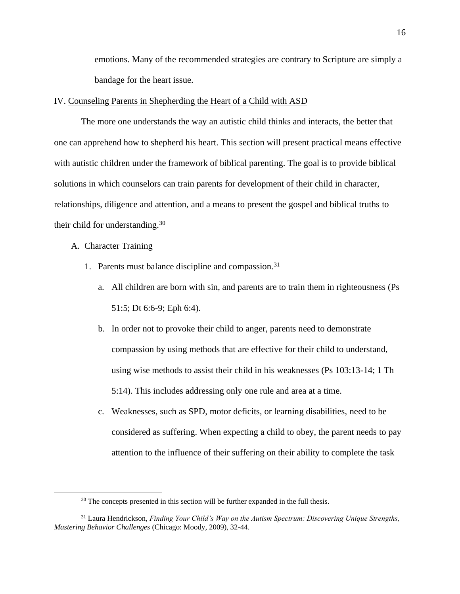emotions. Many of the recommended strategies are contrary to Scripture are simply a bandage for the heart issue.

#### IV. Counseling Parents in Shepherding the Heart of a Child with ASD

The more one understands the way an autistic child thinks and interacts, the better that one can apprehend how to shepherd his heart. This section will present practical means effective with autistic children under the framework of biblical parenting. The goal is to provide biblical solutions in which counselors can train parents for development of their child in character, relationships, diligence and attention, and a means to present the gospel and biblical truths to their child for understanding.<sup>30</sup>

A. Character Training

- 1. Parents must balance discipline and compassion.<sup>31</sup>
	- a. All children are born with sin, and parents are to train them in righteousness (Ps 51:5; Dt 6:6-9; Eph 6:4).
	- b. In order not to provoke their child to anger, parents need to demonstrate compassion by using methods that are effective for their child to understand, using wise methods to assist their child in his weaknesses (Ps 103:13-14; 1 Th 5:14). This includes addressing only one rule and area at a time.
	- c. Weaknesses, such as SPD, motor deficits, or learning disabilities, need to be considered as suffering. When expecting a child to obey, the parent needs to pay attention to the influence of their suffering on their ability to complete the task

<sup>&</sup>lt;sup>30</sup> The concepts presented in this section will be further expanded in the full thesis.

<sup>31</sup> Laura Hendrickson, *Finding Your Child's Way on the Autism Spectrum: Discovering Unique Strengths, Mastering Behavior Challenges* (Chicago: Moody, 2009), 32-44.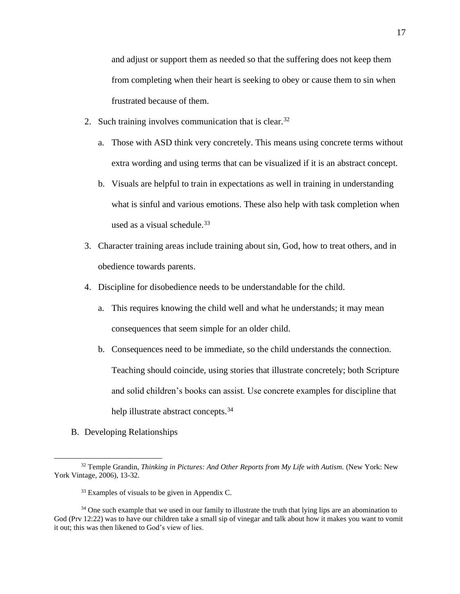and adjust or support them as needed so that the suffering does not keep them from completing when their heart is seeking to obey or cause them to sin when frustrated because of them.

- 2. Such training involves communication that is clear.  $32$ 
	- a. Those with ASD think very concretely. This means using concrete terms without extra wording and using terms that can be visualized if it is an abstract concept.
	- b. Visuals are helpful to train in expectations as well in training in understanding what is sinful and various emotions. These also help with task completion when used as a visual schedule. $33$
- 3. Character training areas include training about sin, God, how to treat others, and in obedience towards parents.
- 4. Discipline for disobedience needs to be understandable for the child.
	- a. This requires knowing the child well and what he understands; it may mean consequences that seem simple for an older child.
	- b. Consequences need to be immediate, so the child understands the connection. Teaching should coincide, using stories that illustrate concretely; both Scripture and solid children's books can assist. Use concrete examples for discipline that help illustrate abstract concepts.<sup>34</sup>
- B. Developing Relationships

<sup>32</sup> Temple Grandin, *Thinking in Pictures: And Other Reports from My Life with Autism.* (New York: New York Vintage, 2006), 13-32.

<sup>&</sup>lt;sup>33</sup> Examples of visuals to be given in Appendix C.

<sup>&</sup>lt;sup>34</sup> One such example that we used in our family to illustrate the truth that lying lips are an abomination to God (Prv 12:22) was to have our children take a small sip of vinegar and talk about how it makes you want to vomit it out; this was then likened to God's view of lies.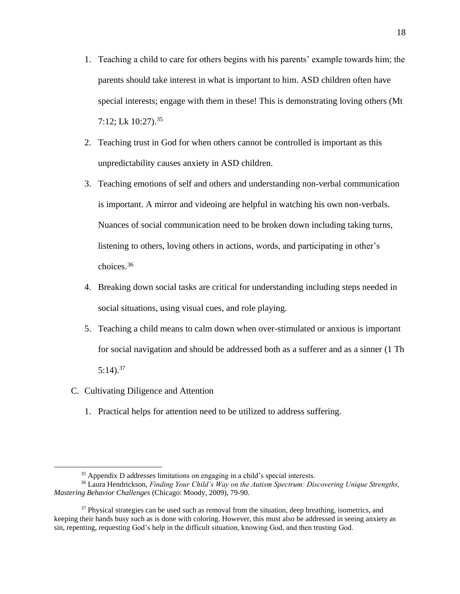- 1. Teaching a child to care for others begins with his parents' example towards him; the parents should take interest in what is important to him. ASD children often have special interests; engage with them in these! This is demonstrating loving others (Mt 7:12; Lk 10:27).<sup>35</sup>
- 2. Teaching trust in God for when others cannot be controlled is important as this unpredictability causes anxiety in ASD children.
- 3. Teaching emotions of self and others and understanding non-verbal communication is important. A mirror and videoing are helpful in watching his own non-verbals. Nuances of social communication need to be broken down including taking turns, listening to others, loving others in actions, words, and participating in other's choices.<sup>36</sup>
- 4. Breaking down social tasks are critical for understanding including steps needed in social situations, using visual cues, and role playing.
- 5. Teaching a child means to calm down when over-stimulated or anxious is important for social navigation and should be addressed both as a sufferer and as a sinner (1 Th  $5:14$ ).<sup>37</sup>
- C. Cultivating Diligence and Attention
	- 1. Practical helps for attention need to be utilized to address suffering.

<sup>35</sup> Appendix D addresses limitations on engaging in a child's special interests.

<sup>36</sup> Laura Hendrickson, *Finding Your Child's Way on the Autism Spectrum: Discovering Unique Strengths, Mastering Behavior Challenges* (Chicago: Moody, 2009), 79-90.

<sup>&</sup>lt;sup>37</sup> Physical strategies can be used such as removal from the situation, deep breathing, isometrics, and keeping their hands busy such as is done with coloring. However, this must also be addressed in seeing anxiety as sin, repenting, requesting God's help in the difficult situation, knowing God, and then trusting God.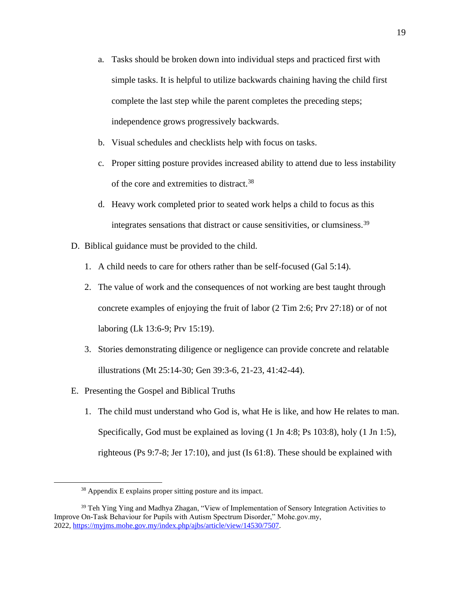- a. Tasks should be broken down into individual steps and practiced first with simple tasks. It is helpful to utilize backwards chaining having the child first complete the last step while the parent completes the preceding steps; independence grows progressively backwards.
- b. Visual schedules and checklists help with focus on tasks.
- c. Proper sitting posture provides increased ability to attend due to less instability of the core and extremities to distract.<sup>38</sup>
- d. Heavy work completed prior to seated work helps a child to focus as this integrates sensations that distract or cause sensitivities, or clumsiness.<sup>39</sup>
- D. Biblical guidance must be provided to the child.
	- 1. A child needs to care for others rather than be self-focused (Gal 5:14).
	- 2. The value of work and the consequences of not working are best taught through concrete examples of enjoying the fruit of labor (2 Tim 2:6; Prv 27:18) or of not laboring (Lk 13:6-9; Prv 15:19).
	- 3. Stories demonstrating diligence or negligence can provide concrete and relatable illustrations (Mt 25:14-30; Gen 39:3-6, 21-23, 41:42-44).
- E. Presenting the Gospel and Biblical Truths
	- 1. The child must understand who God is, what He is like, and how He relates to man. Specifically, God must be explained as loving (1 Jn 4:8; Ps 103:8), holy (1 Jn 1:5), righteous (Ps 9:7-8; Jer 17:10), and just (Is 61:8). These should be explained with

<sup>&</sup>lt;sup>38</sup> Appendix E explains proper sitting posture and its impact.

<sup>&</sup>lt;sup>39</sup> Teh Ying Ying and Madhya Zhagan, "View of Implementation of Sensory Integration Activities to Improve On-Task Behaviour for Pupils with Autism Spectrum Disorder," Mohe.gov.my, 2022, [https://myjms.mohe.gov.my/index.php/ajbs/article/view/14530/7507.](https://myjms.mohe.gov.my/index.php/ajbs/article/view/14530/7507)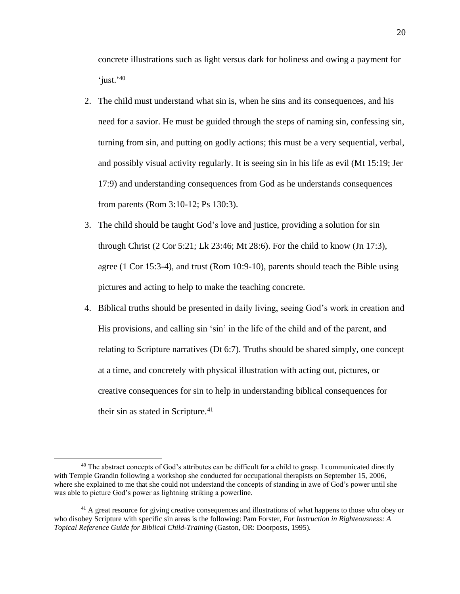concrete illustrations such as light versus dark for holiness and owing a payment for 'just.'40

- 2. The child must understand what sin is, when he sins and its consequences, and his need for a savior. He must be guided through the steps of naming sin, confessing sin, turning from sin, and putting on godly actions; this must be a very sequential, verbal, and possibly visual activity regularly. It is seeing sin in his life as evil (Mt 15:19; Jer 17:9) and understanding consequences from God as he understands consequences from parents (Rom 3:10-12; Ps 130:3).
- 3. The child should be taught God's love and justice, providing a solution for sin through Christ (2 Cor 5:21; Lk 23:46; Mt 28:6). For the child to know (Jn 17:3), agree (1 Cor 15:3-4), and trust (Rom 10:9-10), parents should teach the Bible using pictures and acting to help to make the teaching concrete.
- 4. Biblical truths should be presented in daily living, seeing God's work in creation and His provisions, and calling sin 'sin' in the life of the child and of the parent, and relating to Scripture narratives (Dt 6:7). Truths should be shared simply, one concept at a time, and concretely with physical illustration with acting out, pictures, or creative consequences for sin to help in understanding biblical consequences for their sin as stated in Scripture. $41$

<sup>&</sup>lt;sup>40</sup> The abstract concepts of God's attributes can be difficult for a child to grasp. I communicated directly with Temple Grandin following a workshop she conducted for occupational therapists on September 15, 2006, where she explained to me that she could not understand the concepts of standing in awe of God's power until she was able to picture God's power as lightning striking a powerline.

<sup>&</sup>lt;sup>41</sup> A great resource for giving creative consequences and illustrations of what happens to those who obey or who disobey Scripture with specific sin areas is the following: Pam Forster, *For Instruction in Righteousness: A Topical Reference Guide for Biblical Child-Training* (Gaston, OR: Doorposts, 1995).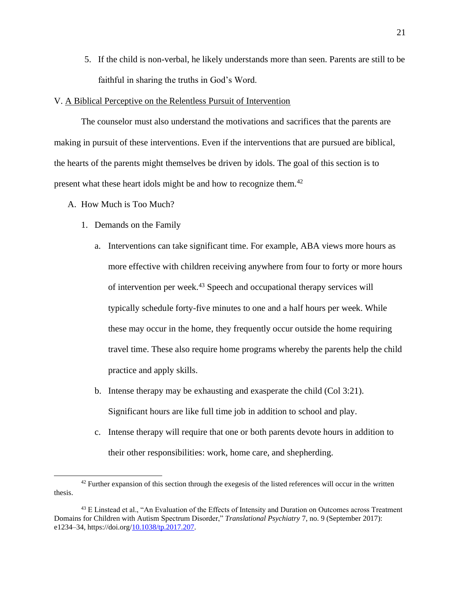5. If the child is non-verbal, he likely understands more than seen. Parents are still to be faithful in sharing the truths in God's Word.

#### V. A Biblical Perceptive on the Relentless Pursuit of Intervention

The counselor must also understand the motivations and sacrifices that the parents are making in pursuit of these interventions. Even if the interventions that are pursued are biblical, the hearts of the parents might themselves be driven by idols. The goal of this section is to present what these heart idols might be and how to recognize them.<sup>42</sup>

- A. How Much is Too Much?
	- 1. Demands on the Family
		- a. Interventions can take significant time. For example, ABA views more hours as more effective with children receiving anywhere from four to forty or more hours of intervention per week.<sup>43</sup> Speech and occupational therapy services will typically schedule forty-five minutes to one and a half hours per week. While these may occur in the home, they frequently occur outside the home requiring travel time. These also require home programs whereby the parents help the child practice and apply skills.
		- b. Intense therapy may be exhausting and exasperate the child (Col 3:21). Significant hours are like full time job in addition to school and play.
		- c. Intense therapy will require that one or both parents devote hours in addition to their other responsibilities: work, home care, and shepherding.

 $42$  Further expansion of this section through the exegesis of the listed references will occur in the written thesis.

<sup>&</sup>lt;sup>43</sup> E Linstead et al., "An Evaluation of the Effects of Intensity and Duration on Outcomes across Treatment Domains for Children with Autism Spectrum Disorder," *Translational Psychiatry* 7, no. 9 (September 2017): e1234–34, https://doi.org[/10.1038/tp.2017.207.](https://www.mybib.com/10.1038/tp.2017.207)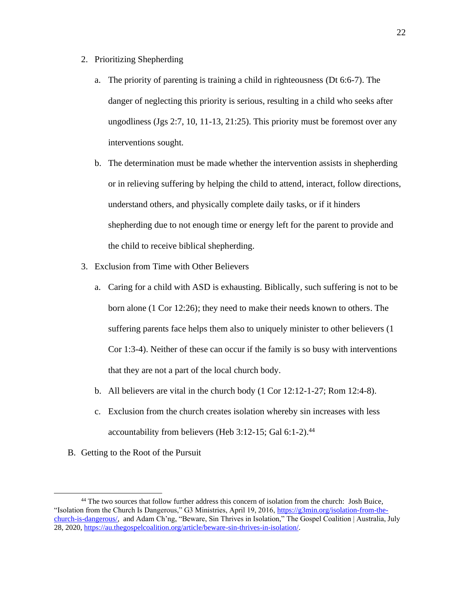- 2. Prioritizing Shepherding
	- a. The priority of parenting is training a child in righteousness (Dt 6:6-7). The danger of neglecting this priority is serious, resulting in a child who seeks after ungodliness (Jgs 2:7, 10, 11-13, 21:25). This priority must be foremost over any interventions sought.
	- b. The determination must be made whether the intervention assists in shepherding or in relieving suffering by helping the child to attend, interact, follow directions, understand others, and physically complete daily tasks, or if it hinders shepherding due to not enough time or energy left for the parent to provide and the child to receive biblical shepherding.
- 3. Exclusion from Time with Other Believers
	- a. Caring for a child with ASD is exhausting. Biblically, such suffering is not to be born alone (1 Cor 12:26); they need to make their needs known to others. The suffering parents face helps them also to uniquely minister to other believers (1 Cor 1:3-4). Neither of these can occur if the family is so busy with interventions that they are not a part of the local church body.
	- b. All believers are vital in the church body (1 Cor 12:12-1-27; Rom 12:4-8).
	- c. Exclusion from the church creates isolation whereby sin increases with less accountability from believers (Heb 3:12-15; Gal 6:1-2).<sup>44</sup>
- B. Getting to the Root of the Pursuit

<sup>44</sup> The two sources that follow further address this concern of isolation from the church: Josh Buice, "Isolation from the Church Is Dangerous," G3 Ministries, April 19, 2016, [https://g3min.org/isolation-from-the](https://g3min.org/isolation-from-the-church-is-dangerous/)[church-is-dangerous/,](https://g3min.org/isolation-from-the-church-is-dangerous/) and Adam Ch'ng, "Beware, Sin Thrives in Isolation," The Gospel Coalition | Australia, July 28, 2020, [https://au.thegospelcoalition.org/article/beware-sin-thrives-in-isolation/.](https://au.thegospelcoalition.org/article/beware-sin-thrives-in-isolation/)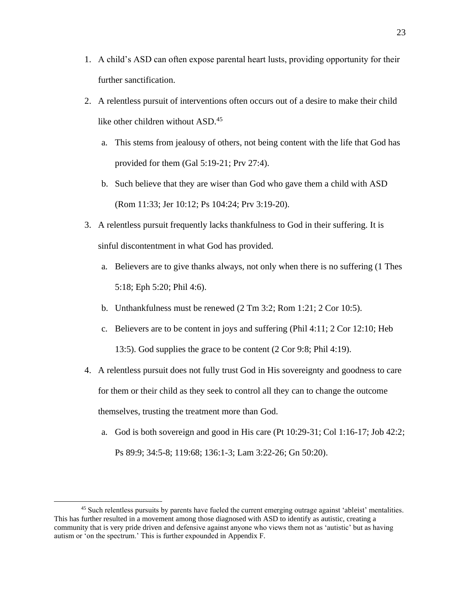- 1. A child's ASD can often expose parental heart lusts, providing opportunity for their further sanctification.
- 2. A relentless pursuit of interventions often occurs out of a desire to make their child like other children without ASD.<sup>45</sup>
	- a. This stems from jealousy of others, not being content with the life that God has provided for them (Gal 5:19-21; Prv 27:4).
	- b. Such believe that they are wiser than God who gave them a child with ASD (Rom 11:33; Jer 10:12; Ps 104:24; Prv 3:19-20).
- 3. A relentless pursuit frequently lacks thankfulness to God in their suffering. It is sinful discontentment in what God has provided.
	- a. Believers are to give thanks always, not only when there is no suffering (1 Thes 5:18; Eph 5:20; Phil 4:6).
	- b. Unthankfulness must be renewed (2 Tm 3:2; Rom 1:21; 2 Cor 10:5).
	- c. Believers are to be content in joys and suffering (Phil 4:11; 2 Cor 12:10; Heb 13:5). God supplies the grace to be content (2 Cor 9:8; Phil 4:19).
- 4. A relentless pursuit does not fully trust God in His sovereignty and goodness to care for them or their child as they seek to control all they can to change the outcome themselves, trusting the treatment more than God.
	- a. God is both sovereign and good in His care (Pt 10:29-31; Col 1:16-17; Job 42:2; Ps 89:9; 34:5-8; 119:68; 136:1-3; Lam 3:22-26; Gn 50:20).

<sup>&</sup>lt;sup>45</sup> Such relentless pursuits by parents have fueled the current emerging outrage against 'ableist' mentalities. This has further resulted in a movement among those diagnosed with ASD to identify as autistic, creating a community that is very pride driven and defensive against anyone who views them not as 'autistic' but as having autism or 'on the spectrum.' This is further expounded in Appendix F.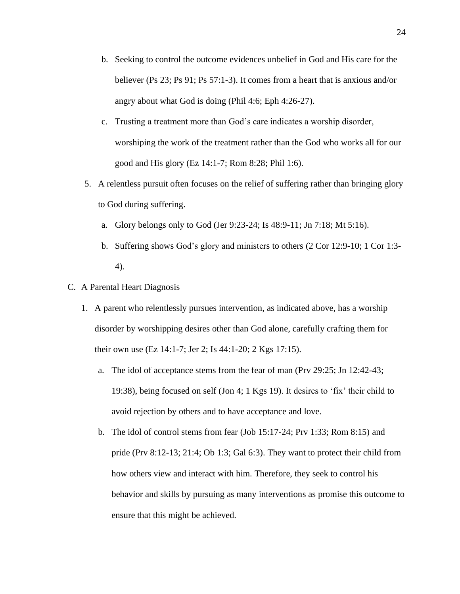- b. Seeking to control the outcome evidences unbelief in God and His care for the believer (Ps 23; Ps 91; Ps 57:1-3). It comes from a heart that is anxious and/or angry about what God is doing (Phil 4:6; Eph 4:26-27).
- c. Trusting a treatment more than God's care indicates a worship disorder, worshiping the work of the treatment rather than the God who works all for our good and His glory (Ez 14:1-7; Rom 8:28; Phil 1:6).
- 5. A relentless pursuit often focuses on the relief of suffering rather than bringing glory to God during suffering.
	- a. Glory belongs only to God (Jer 9:23-24; Is 48:9-11; Jn 7:18; Mt 5:16).
	- b. Suffering shows God's glory and ministers to others (2 Cor 12:9-10; 1 Cor 1:3- 4).
- C. A Parental Heart Diagnosis
	- 1. A parent who relentlessly pursues intervention, as indicated above, has a worship disorder by worshipping desires other than God alone, carefully crafting them for their own use (Ez 14:1-7; Jer 2; Is 44:1-20; 2 Kgs 17:15).
		- a. The idol of acceptance stems from the fear of man (Prv 29:25; Jn 12:42-43; 19:38), being focused on self (Jon 4; 1 Kgs 19). It desires to 'fix' their child to avoid rejection by others and to have acceptance and love.
		- b. The idol of control stems from fear (Job 15:17-24; Prv 1:33; Rom 8:15) and pride (Prv 8:12-13; 21:4; Ob 1:3; Gal 6:3). They want to protect their child from how others view and interact with him. Therefore, they seek to control his behavior and skills by pursuing as many interventions as promise this outcome to ensure that this might be achieved.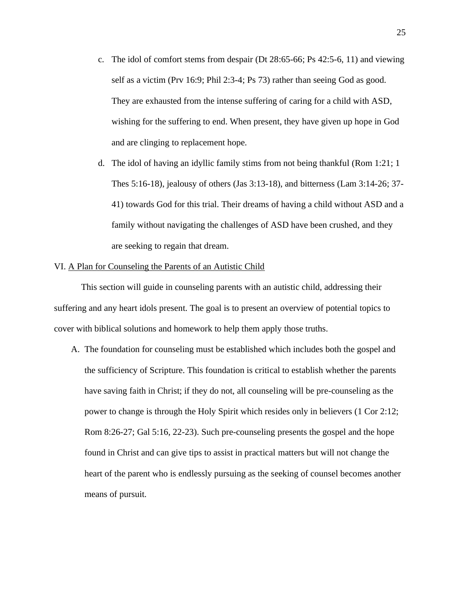- c. The idol of comfort stems from despair (Dt 28:65-66; Ps 42:5-6, 11) and viewing self as a victim (Prv 16:9; Phil 2:3-4; Ps 73) rather than seeing God as good. They are exhausted from the intense suffering of caring for a child with ASD, wishing for the suffering to end. When present, they have given up hope in God and are clinging to replacement hope.
- d. The idol of having an idyllic family stims from not being thankful (Rom 1:21; 1 Thes 5:16-18), jealousy of others (Jas 3:13-18), and bitterness (Lam 3:14-26; 37- 41) towards God for this trial. Their dreams of having a child without ASD and a family without navigating the challenges of ASD have been crushed, and they are seeking to regain that dream.

## VI. A Plan for Counseling the Parents of an Autistic Child

This section will guide in counseling parents with an autistic child, addressing their suffering and any heart idols present. The goal is to present an overview of potential topics to cover with biblical solutions and homework to help them apply those truths.

A. The foundation for counseling must be established which includes both the gospel and the sufficiency of Scripture. This foundation is critical to establish whether the parents have saving faith in Christ; if they do not, all counseling will be pre-counseling as the power to change is through the Holy Spirit which resides only in believers (1 Cor 2:12; Rom 8:26-27; Gal 5:16, 22-23). Such pre-counseling presents the gospel and the hope found in Christ and can give tips to assist in practical matters but will not change the heart of the parent who is endlessly pursuing as the seeking of counsel becomes another means of pursuit.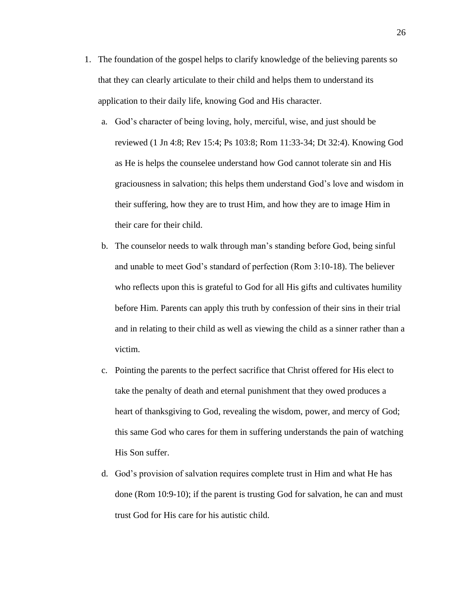- 1. The foundation of the gospel helps to clarify knowledge of the believing parents so that they can clearly articulate to their child and helps them to understand its application to their daily life, knowing God and His character.
	- a. God's character of being loving, holy, merciful, wise, and just should be reviewed (1 Jn 4:8; Rev 15:4; Ps 103:8; Rom 11:33-34; Dt 32:4). Knowing God as He is helps the counselee understand how God cannot tolerate sin and His graciousness in salvation; this helps them understand God's love and wisdom in their suffering, how they are to trust Him, and how they are to image Him in their care for their child.
	- b. The counselor needs to walk through man's standing before God, being sinful and unable to meet God's standard of perfection (Rom 3:10-18). The believer who reflects upon this is grateful to God for all His gifts and cultivates humility before Him. Parents can apply this truth by confession of their sins in their trial and in relating to their child as well as viewing the child as a sinner rather than a victim.
	- c. Pointing the parents to the perfect sacrifice that Christ offered for His elect to take the penalty of death and eternal punishment that they owed produces a heart of thanksgiving to God, revealing the wisdom, power, and mercy of God; this same God who cares for them in suffering understands the pain of watching His Son suffer.
	- d. God's provision of salvation requires complete trust in Him and what He has done (Rom 10:9-10); if the parent is trusting God for salvation, he can and must trust God for His care for his autistic child.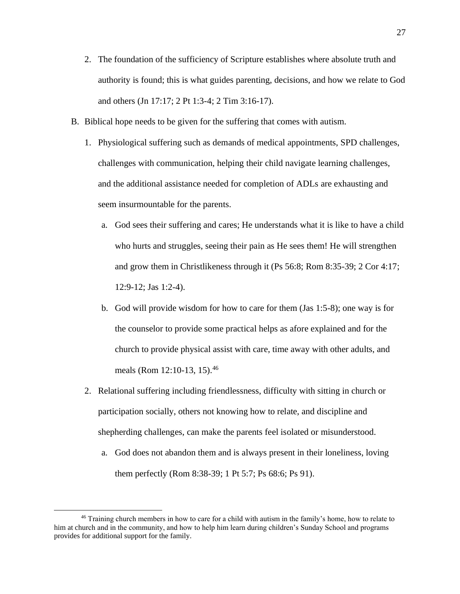- 2. The foundation of the sufficiency of Scripture establishes where absolute truth and authority is found; this is what guides parenting, decisions, and how we relate to God and others (Jn 17:17; 2 Pt 1:3-4; 2 Tim 3:16-17).
- B. Biblical hope needs to be given for the suffering that comes with autism.
	- 1. Physiological suffering such as demands of medical appointments, SPD challenges, challenges with communication, helping their child navigate learning challenges, and the additional assistance needed for completion of ADLs are exhausting and seem insurmountable for the parents.
		- a. God sees their suffering and cares; He understands what it is like to have a child who hurts and struggles, seeing their pain as He sees them! He will strengthen and grow them in Christlikeness through it (Ps 56:8; Rom 8:35-39; 2 Cor 4:17; 12:9-12; Jas 1:2-4).
		- b. God will provide wisdom for how to care for them (Jas 1:5-8); one way is for the counselor to provide some practical helps as afore explained and for the church to provide physical assist with care, time away with other adults, and meals (Rom 12:10-13, 15).<sup>46</sup>
	- 2. Relational suffering including friendlessness, difficulty with sitting in church or participation socially, others not knowing how to relate, and discipline and shepherding challenges, can make the parents feel isolated or misunderstood.
		- a. God does not abandon them and is always present in their loneliness, loving them perfectly (Rom 8:38-39; 1 Pt 5:7; Ps 68:6; Ps 91).

<sup>&</sup>lt;sup>46</sup> Training church members in how to care for a child with autism in the family's home, how to relate to him at church and in the community, and how to help him learn during children's Sunday School and programs provides for additional support for the family.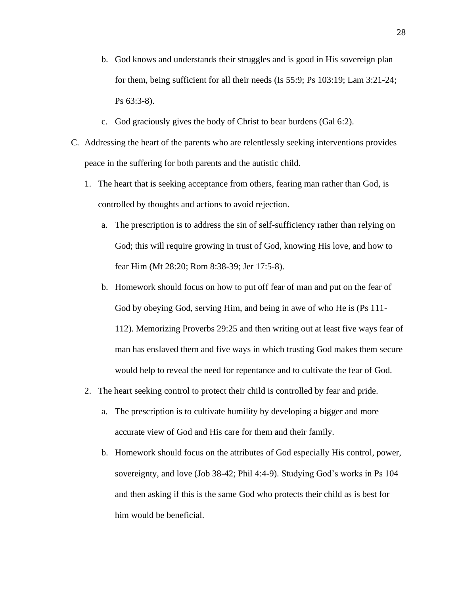- b. God knows and understands their struggles and is good in His sovereign plan for them, being sufficient for all their needs (Is 55:9; Ps 103:19; Lam 3:21-24; Ps 63:3-8).
- c. God graciously gives the body of Christ to bear burdens (Gal 6:2).
- C. Addressing the heart of the parents who are relentlessly seeking interventions provides peace in the suffering for both parents and the autistic child.
	- 1. The heart that is seeking acceptance from others, fearing man rather than God, is controlled by thoughts and actions to avoid rejection.
		- a. The prescription is to address the sin of self-sufficiency rather than relying on God; this will require growing in trust of God, knowing His love, and how to fear Him (Mt 28:20; Rom 8:38-39; Jer 17:5-8).
		- b. Homework should focus on how to put off fear of man and put on the fear of God by obeying God, serving Him, and being in awe of who He is (Ps 111- 112). Memorizing Proverbs 29:25 and then writing out at least five ways fear of man has enslaved them and five ways in which trusting God makes them secure would help to reveal the need for repentance and to cultivate the fear of God.
	- 2. The heart seeking control to protect their child is controlled by fear and pride.
		- a. The prescription is to cultivate humility by developing a bigger and more accurate view of God and His care for them and their family.
		- b. Homework should focus on the attributes of God especially His control, power, sovereignty, and love (Job 38-42; Phil 4:4-9). Studying God's works in Ps 104 and then asking if this is the same God who protects their child as is best for him would be beneficial.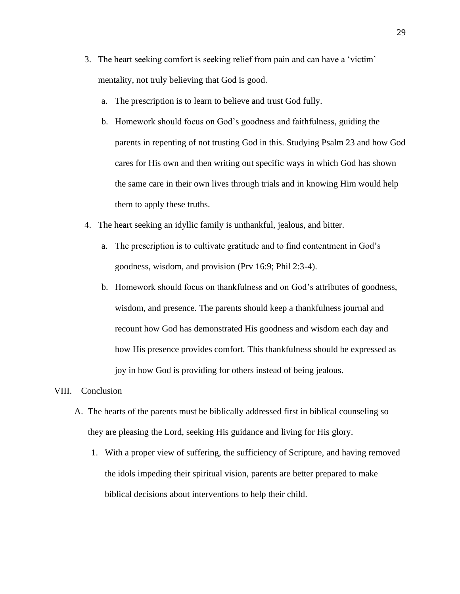- 3. The heart seeking comfort is seeking relief from pain and can have a 'victim' mentality, not truly believing that God is good.
	- a. The prescription is to learn to believe and trust God fully.
	- b. Homework should focus on God's goodness and faithfulness, guiding the parents in repenting of not trusting God in this. Studying Psalm 23 and how God cares for His own and then writing out specific ways in which God has shown the same care in their own lives through trials and in knowing Him would help them to apply these truths.
- 4. The heart seeking an idyllic family is unthankful, jealous, and bitter.
	- a. The prescription is to cultivate gratitude and to find contentment in God's goodness, wisdom, and provision (Prv 16:9; Phil 2:3-4).
	- b. Homework should focus on thankfulness and on God's attributes of goodness, wisdom, and presence. The parents should keep a thankfulness journal and recount how God has demonstrated His goodness and wisdom each day and how His presence provides comfort. This thankfulness should be expressed as joy in how God is providing for others instead of being jealous.

#### VIII. Conclusion

- A. The hearts of the parents must be biblically addressed first in biblical counseling so they are pleasing the Lord, seeking His guidance and living for His glory.
	- 1. With a proper view of suffering, the sufficiency of Scripture, and having removed the idols impeding their spiritual vision, parents are better prepared to make biblical decisions about interventions to help their child.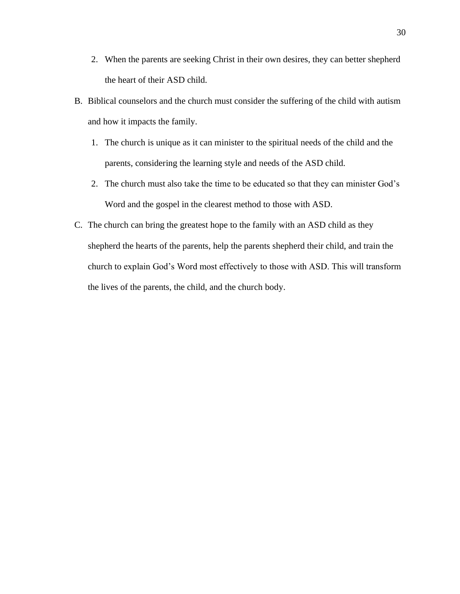- 2. When the parents are seeking Christ in their own desires, they can better shepherd the heart of their ASD child.
- B. Biblical counselors and the church must consider the suffering of the child with autism and how it impacts the family.
	- 1. The church is unique as it can minister to the spiritual needs of the child and the parents, considering the learning style and needs of the ASD child.
	- 2. The church must also take the time to be educated so that they can minister God's Word and the gospel in the clearest method to those with ASD.
- C. The church can bring the greatest hope to the family with an ASD child as they shepherd the hearts of the parents, help the parents shepherd their child, and train the church to explain God's Word most effectively to those with ASD. This will transform the lives of the parents, the child, and the church body.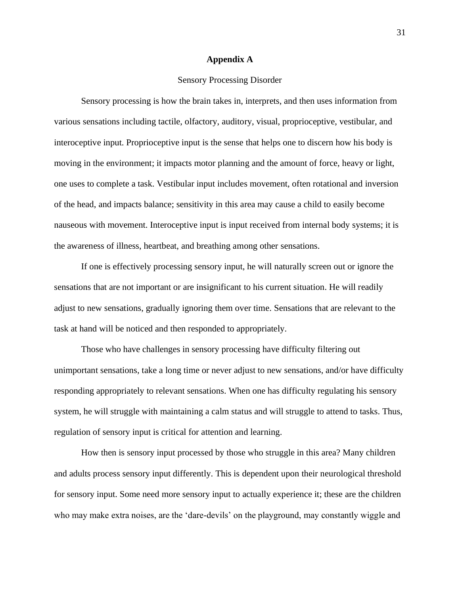#### **Appendix A**

## Sensory Processing Disorder

Sensory processing is how the brain takes in, interprets, and then uses information from various sensations including tactile, olfactory, auditory, visual, proprioceptive, vestibular, and interoceptive input. Proprioceptive input is the sense that helps one to discern how his body is moving in the environment; it impacts motor planning and the amount of force, heavy or light, one uses to complete a task. Vestibular input includes movement, often rotational and inversion of the head, and impacts balance; sensitivity in this area may cause a child to easily become nauseous with movement. Interoceptive input is input received from internal body systems; it is the awareness of illness, heartbeat, and breathing among other sensations.

If one is effectively processing sensory input, he will naturally screen out or ignore the sensations that are not important or are insignificant to his current situation. He will readily adjust to new sensations, gradually ignoring them over time. Sensations that are relevant to the task at hand will be noticed and then responded to appropriately.

Those who have challenges in sensory processing have difficulty filtering out unimportant sensations, take a long time or never adjust to new sensations, and/or have difficulty responding appropriately to relevant sensations. When one has difficulty regulating his sensory system, he will struggle with maintaining a calm status and will struggle to attend to tasks. Thus, regulation of sensory input is critical for attention and learning.

How then is sensory input processed by those who struggle in this area? Many children and adults process sensory input differently. This is dependent upon their neurological threshold for sensory input. Some need more sensory input to actually experience it; these are the children who may make extra noises, are the 'dare-devils' on the playground, may constantly wiggle and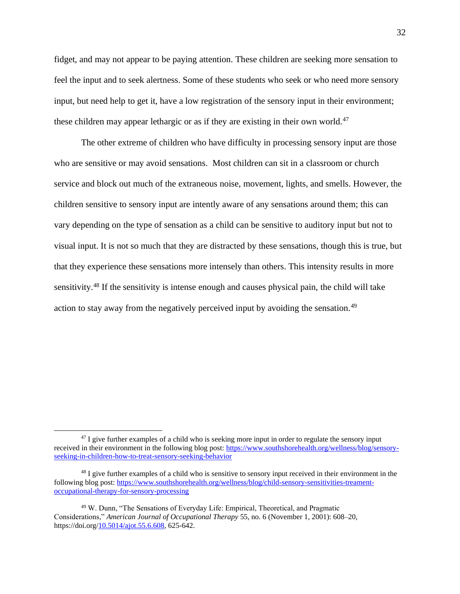fidget, and may not appear to be paying attention. These children are seeking more sensation to feel the input and to seek alertness. Some of these students who seek or who need more sensory input, but need help to get it, have a low registration of the sensory input in their environment; these children may appear lethargic or as if they are existing in their own world.<sup>47</sup>

The other extreme of children who have difficulty in processing sensory input are those who are sensitive or may avoid sensations. Most children can sit in a classroom or church service and block out much of the extraneous noise, movement, lights, and smells. However, the children sensitive to sensory input are intently aware of any sensations around them; this can vary depending on the type of sensation as a child can be sensitive to auditory input but not to visual input. It is not so much that they are distracted by these sensations, though this is true, but that they experience these sensations more intensely than others. This intensity results in more sensitivity.<sup>48</sup> If the sensitivity is intense enough and causes physical pain, the child will take action to stay away from the negatively perceived input by avoiding the sensation.<sup>49</sup>

<sup>&</sup>lt;sup>47</sup> I give further examples of a child who is seeking more input in order to regulate the sensory input received in their environment in the following blog post: [https://www.southshorehealth.org/wellness/blog/sensory](https://www.southshorehealth.org/wellness/blog/sensory-seeking-in-children-how-to-treat-sensory-seeking-behavior)[seeking-in-children-how-to-treat-sensory-seeking-behavior](https://www.southshorehealth.org/wellness/blog/sensory-seeking-in-children-how-to-treat-sensory-seeking-behavior)

<sup>&</sup>lt;sup>48</sup> I give further examples of a child who is sensitive to sensory input received in their environment in the following blog post[: https://www.southshorehealth.org/wellness/blog/child-sensory-sensitivities-treament](https://www.southshorehealth.org/wellness/blog/child-sensory-sensitivities-treament-occupational-therapy-for-sensory-processing)[occupational-therapy-for-sensory-processing](https://www.southshorehealth.org/wellness/blog/child-sensory-sensitivities-treament-occupational-therapy-for-sensory-processing)

<sup>49</sup> W. Dunn, "The Sensations of Everyday Life: Empirical, Theoretical, and Pragmatic Considerations," *American Journal of Occupational Therapy* 55, no. 6 (November 1, 2001): 608–20, https://doi.org[/10.5014/ajot.55.6.608,](https://www.mybib.com/10.5014/ajot.55.6.608) 625-642.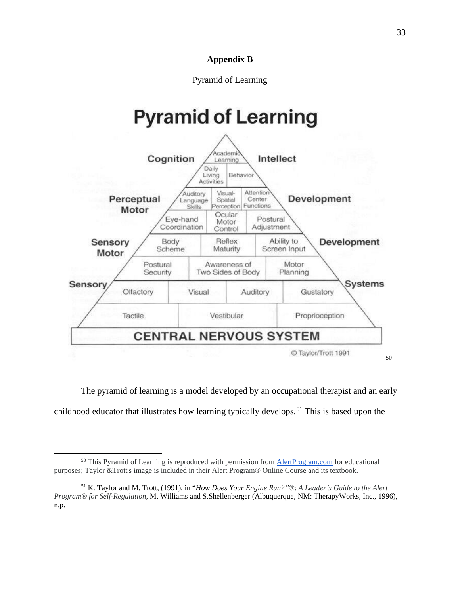## **Appendix B**

## Pyramid of Learning

# **Pyramid of Learning**



The pyramid of learning is a model developed by an occupational therapist and an early childhood educator that illustrates how learning typically develops.<sup>51</sup> This is based upon the

<sup>&</sup>lt;sup>50</sup> This Pyramid of Learning is reproduced with permission from **[AlertProgram.com](http://alertprogram.com/)** for educational purposes; Taylor &Trott's image is included in their Alert Program® Online Course and its textbook.

<sup>51</sup> K. Taylor and M. Trott, (1991), in "*How Does Your Engine Run?"*®: *A Leader's Guide to the Alert Program® for Self-Regulation,* M. Williams and S.Shellenberger (Albuquerque, NM: TherapyWorks, Inc., 1996), n.p.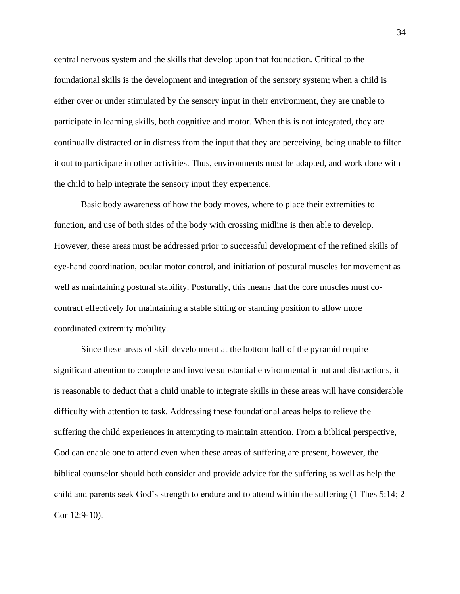central nervous system and the skills that develop upon that foundation. Critical to the foundational skills is the development and integration of the sensory system; when a child is either over or under stimulated by the sensory input in their environment, they are unable to participate in learning skills, both cognitive and motor. When this is not integrated, they are continually distracted or in distress from the input that they are perceiving, being unable to filter it out to participate in other activities. Thus, environments must be adapted, and work done with the child to help integrate the sensory input they experience.

Basic body awareness of how the body moves, where to place their extremities to function, and use of both sides of the body with crossing midline is then able to develop. However, these areas must be addressed prior to successful development of the refined skills of eye-hand coordination, ocular motor control, and initiation of postural muscles for movement as well as maintaining postural stability. Posturally, this means that the core muscles must cocontract effectively for maintaining a stable sitting or standing position to allow more coordinated extremity mobility.

Since these areas of skill development at the bottom half of the pyramid require significant attention to complete and involve substantial environmental input and distractions, it is reasonable to deduct that a child unable to integrate skills in these areas will have considerable difficulty with attention to task. Addressing these foundational areas helps to relieve the suffering the child experiences in attempting to maintain attention. From a biblical perspective, God can enable one to attend even when these areas of suffering are present, however, the biblical counselor should both consider and provide advice for the suffering as well as help the child and parents seek God's strength to endure and to attend within the suffering (1 Thes 5:14; 2 Cor 12:9-10).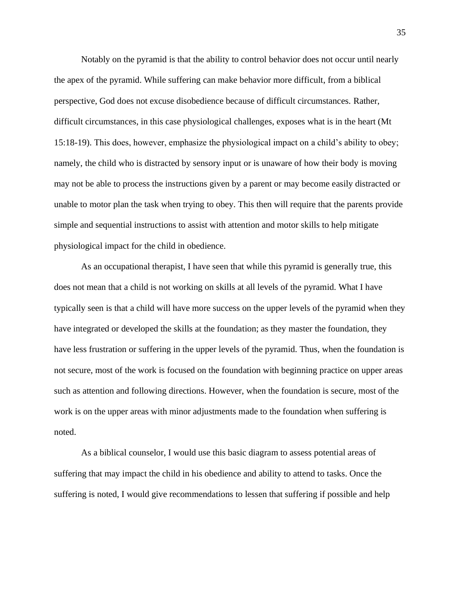Notably on the pyramid is that the ability to control behavior does not occur until nearly the apex of the pyramid. While suffering can make behavior more difficult, from a biblical perspective, God does not excuse disobedience because of difficult circumstances. Rather, difficult circumstances, in this case physiological challenges, exposes what is in the heart (Mt 15:18-19). This does, however, emphasize the physiological impact on a child's ability to obey; namely, the child who is distracted by sensory input or is unaware of how their body is moving may not be able to process the instructions given by a parent or may become easily distracted or unable to motor plan the task when trying to obey. This then will require that the parents provide simple and sequential instructions to assist with attention and motor skills to help mitigate physiological impact for the child in obedience.

As an occupational therapist, I have seen that while this pyramid is generally true, this does not mean that a child is not working on skills at all levels of the pyramid. What I have typically seen is that a child will have more success on the upper levels of the pyramid when they have integrated or developed the skills at the foundation; as they master the foundation, they have less frustration or suffering in the upper levels of the pyramid. Thus, when the foundation is not secure, most of the work is focused on the foundation with beginning practice on upper areas such as attention and following directions. However, when the foundation is secure, most of the work is on the upper areas with minor adjustments made to the foundation when suffering is noted.

As a biblical counselor, I would use this basic diagram to assess potential areas of suffering that may impact the child in his obedience and ability to attend to tasks. Once the suffering is noted, I would give recommendations to lessen that suffering if possible and help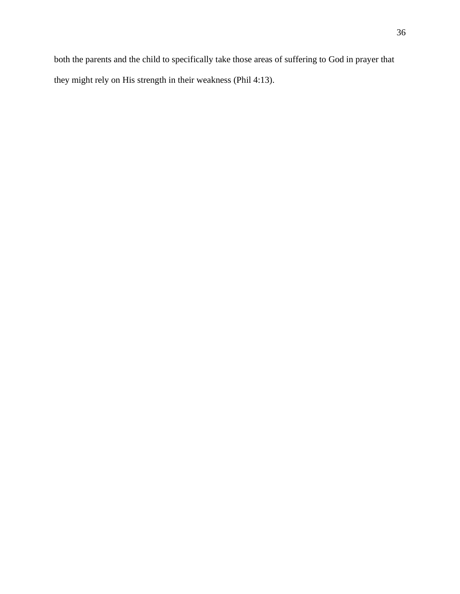both the parents and the child to specifically take those areas of suffering to God in prayer that they might rely on His strength in their weakness (Phil 4:13).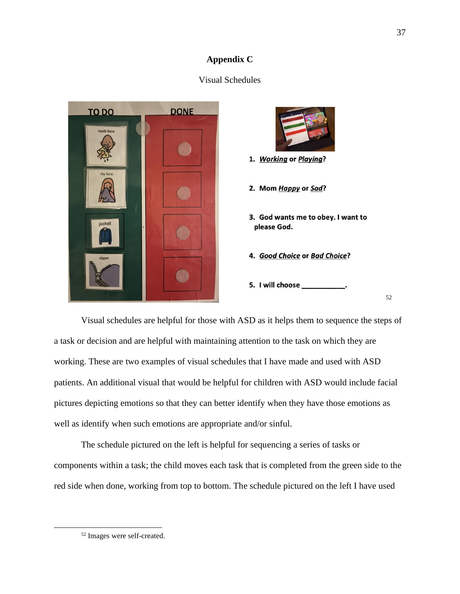## **Appendix C**

## Visual Schedules



Visual schedules are helpful for those with ASD as it helps them to sequence the steps of a task or decision and are helpful with maintaining attention to the task on which they are working. These are two examples of visual schedules that I have made and used with ASD patients. An additional visual that would be helpful for children with ASD would include facial pictures depicting emotions so that they can better identify when they have those emotions as well as identify when such emotions are appropriate and/or sinful.

The schedule pictured on the left is helpful for sequencing a series of tasks or components within a task; the child moves each task that is completed from the green side to the red side when done, working from top to bottom. The schedule pictured on the left I have used

<sup>52</sup> Images were self-created.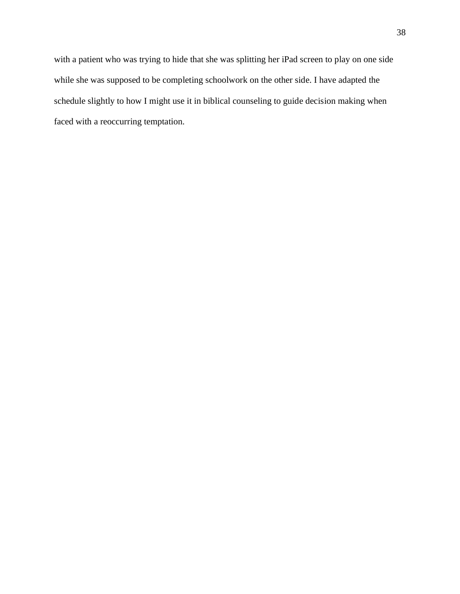with a patient who was trying to hide that she was splitting her iPad screen to play on one side while she was supposed to be completing schoolwork on the other side. I have adapted the schedule slightly to how I might use it in biblical counseling to guide decision making when faced with a reoccurring temptation.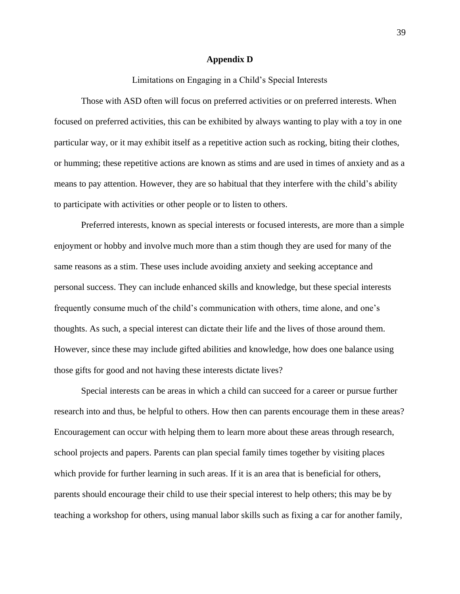#### **Appendix D**

Limitations on Engaging in a Child's Special Interests

Those with ASD often will focus on preferred activities or on preferred interests. When focused on preferred activities, this can be exhibited by always wanting to play with a toy in one particular way, or it may exhibit itself as a repetitive action such as rocking, biting their clothes, or humming; these repetitive actions are known as stims and are used in times of anxiety and as a means to pay attention. However, they are so habitual that they interfere with the child's ability to participate with activities or other people or to listen to others.

Preferred interests, known as special interests or focused interests, are more than a simple enjoyment or hobby and involve much more than a stim though they are used for many of the same reasons as a stim. These uses include avoiding anxiety and seeking acceptance and personal success. They can include enhanced skills and knowledge, but these special interests frequently consume much of the child's communication with others, time alone, and one's thoughts. As such, a special interest can dictate their life and the lives of those around them. However, since these may include gifted abilities and knowledge, how does one balance using those gifts for good and not having these interests dictate lives?

Special interests can be areas in which a child can succeed for a career or pursue further research into and thus, be helpful to others. How then can parents encourage them in these areas? Encouragement can occur with helping them to learn more about these areas through research, school projects and papers. Parents can plan special family times together by visiting places which provide for further learning in such areas. If it is an area that is beneficial for others, parents should encourage their child to use their special interest to help others; this may be by teaching a workshop for others, using manual labor skills such as fixing a car for another family,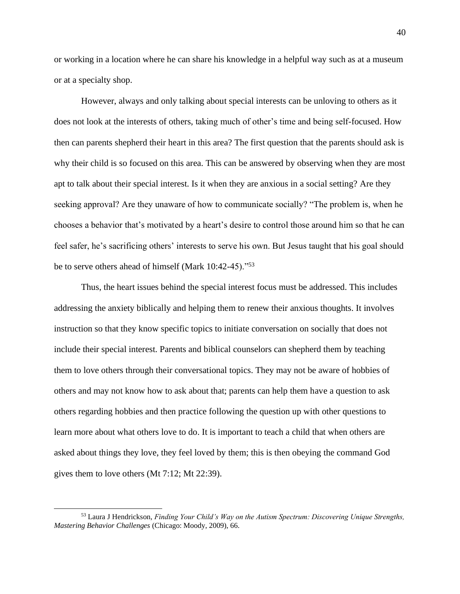or working in a location where he can share his knowledge in a helpful way such as at a museum or at a specialty shop.

However, always and only talking about special interests can be unloving to others as it does not look at the interests of others, taking much of other's time and being self-focused. How then can parents shepherd their heart in this area? The first question that the parents should ask is why their child is so focused on this area. This can be answered by observing when they are most apt to talk about their special interest. Is it when they are anxious in a social setting? Are they seeking approval? Are they unaware of how to communicate socially? "The problem is, when he chooses a behavior that's motivated by a heart's desire to control those around him so that he can feel safer, he's sacrificing others' interests to serve his own. But Jesus taught that his goal should be to serve others ahead of himself (Mark 10:42-45)."<sup>53</sup>

Thus, the heart issues behind the special interest focus must be addressed. This includes addressing the anxiety biblically and helping them to renew their anxious thoughts. It involves instruction so that they know specific topics to initiate conversation on socially that does not include their special interest. Parents and biblical counselors can shepherd them by teaching them to love others through their conversational topics. They may not be aware of hobbies of others and may not know how to ask about that; parents can help them have a question to ask others regarding hobbies and then practice following the question up with other questions to learn more about what others love to do. It is important to teach a child that when others are asked about things they love, they feel loved by them; this is then obeying the command God gives them to love others (Mt 7:12; Mt 22:39).

<sup>53</sup> Laura J Hendrickson, *Finding Your Child's Way on the Autism Spectrum: Discovering Unique Strengths, Mastering Behavior Challenges* (Chicago: Moody, 2009), 66.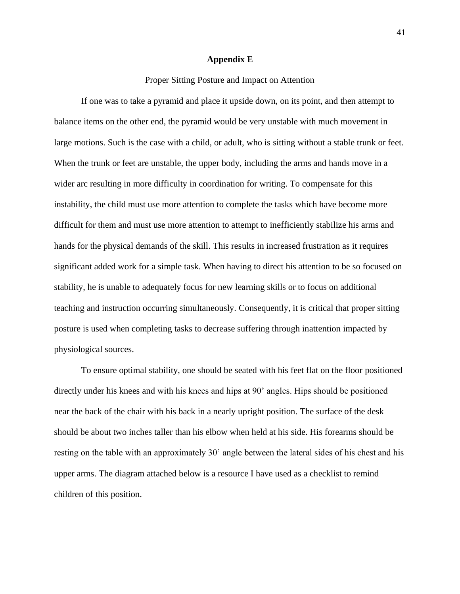#### **Appendix E**

## Proper Sitting Posture and Impact on Attention

If one was to take a pyramid and place it upside down, on its point, and then attempt to balance items on the other end, the pyramid would be very unstable with much movement in large motions. Such is the case with a child, or adult, who is sitting without a stable trunk or feet. When the trunk or feet are unstable, the upper body, including the arms and hands move in a wider arc resulting in more difficulty in coordination for writing. To compensate for this instability, the child must use more attention to complete the tasks which have become more difficult for them and must use more attention to attempt to inefficiently stabilize his arms and hands for the physical demands of the skill. This results in increased frustration as it requires significant added work for a simple task. When having to direct his attention to be so focused on stability, he is unable to adequately focus for new learning skills or to focus on additional teaching and instruction occurring simultaneously. Consequently, it is critical that proper sitting posture is used when completing tasks to decrease suffering through inattention impacted by physiological sources.

To ensure optimal stability, one should be seated with his feet flat on the floor positioned directly under his knees and with his knees and hips at 90' angles. Hips should be positioned near the back of the chair with his back in a nearly upright position. The surface of the desk should be about two inches taller than his elbow when held at his side. His forearms should be resting on the table with an approximately 30' angle between the lateral sides of his chest and his upper arms. The diagram attached below is a resource I have used as a checklist to remind children of this position.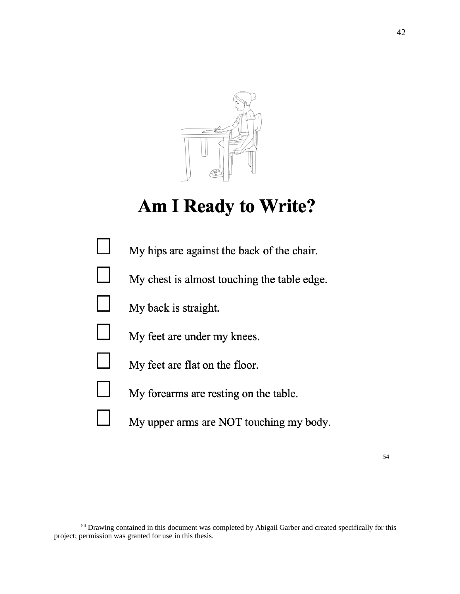![](_page_45_Picture_0.jpeg)

## **Am I Ready to Write?**

![](_page_45_Figure_2.jpeg)

<sup>54</sup> Drawing contained in this document was completed by Abigail Garber and created specifically for this project; permission was granted for use in this thesis.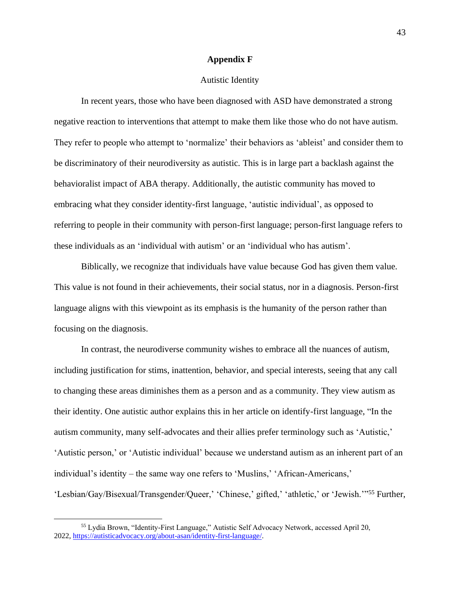#### **Appendix F**

## Autistic Identity

In recent years, those who have been diagnosed with ASD have demonstrated a strong negative reaction to interventions that attempt to make them like those who do not have autism. They refer to people who attempt to 'normalize' their behaviors as 'ableist' and consider them to be discriminatory of their neurodiversity as autistic. This is in large part a backlash against the behavioralist impact of ABA therapy. Additionally, the autistic community has moved to embracing what they consider identity-first language, 'autistic individual', as opposed to referring to people in their community with person-first language; person-first language refers to these individuals as an 'individual with autism' or an 'individual who has autism'.

Biblically, we recognize that individuals have value because God has given them value. This value is not found in their achievements, their social status, nor in a diagnosis. Person-first language aligns with this viewpoint as its emphasis is the humanity of the person rather than focusing on the diagnosis.

In contrast, the neurodiverse community wishes to embrace all the nuances of autism, including justification for stims, inattention, behavior, and special interests, seeing that any call to changing these areas diminishes them as a person and as a community. They view autism as their identity. One autistic author explains this in her article on identify-first language, "In the autism community, many self-advocates and their allies prefer terminology such as 'Autistic,' 'Autistic person,' or 'Autistic individual' because we understand autism as an inherent part of an individual's identity – the same way one refers to 'Muslins,' 'African-Americans,' 'Lesbian/Gay/Bisexual/Transgender/Queer,' 'Chinese,' gifted,' 'athletic,' or 'Jewish.'"<sup>55</sup> Further,

<sup>55</sup> Lydia Brown, "Identity-First Language," Autistic Self Advocacy Network, accessed April 20, 2022, [https://autisticadvocacy.org/about-asan/identity-first-language/.](https://autisticadvocacy.org/about-asan/identity-first-language/)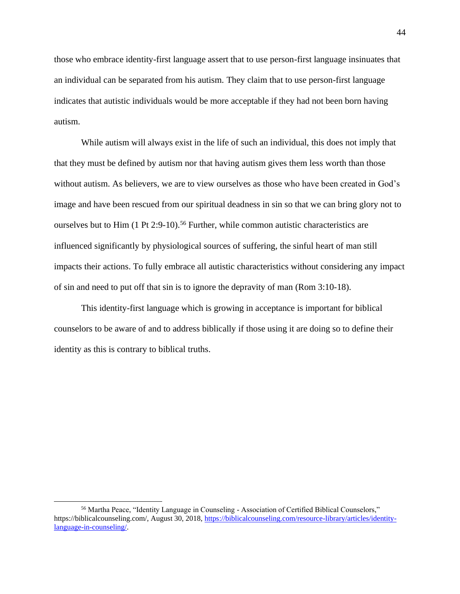those who embrace identity-first language assert that to use person-first language insinuates that an individual can be separated from his autism. They claim that to use person-first language indicates that autistic individuals would be more acceptable if they had not been born having autism.

While autism will always exist in the life of such an individual, this does not imply that that they must be defined by autism nor that having autism gives them less worth than those without autism. As believers, we are to view ourselves as those who have been created in God's image and have been rescued from our spiritual deadness in sin so that we can bring glory not to ourselves but to Him  $(1 \text{ Pt } 2.9-10)$ .<sup>56</sup> Further, while common autistic characteristics are influenced significantly by physiological sources of suffering, the sinful heart of man still impacts their actions. To fully embrace all autistic characteristics without considering any impact of sin and need to put off that sin is to ignore the depravity of man (Rom 3:10-18).

This identity-first language which is growing in acceptance is important for biblical counselors to be aware of and to address biblically if those using it are doing so to define their identity as this is contrary to biblical truths.

<sup>56</sup> Martha Peace, "Identity Language in Counseling - Association of Certified Biblical Counselors," https://biblicalcounseling.com/, August 30, 2018, [https://biblicalcounseling.com/resource-library/articles/identity](https://biblicalcounseling.com/resource-library/articles/identity-language-in-counseling/)[language-in-counseling/.](https://biblicalcounseling.com/resource-library/articles/identity-language-in-counseling/)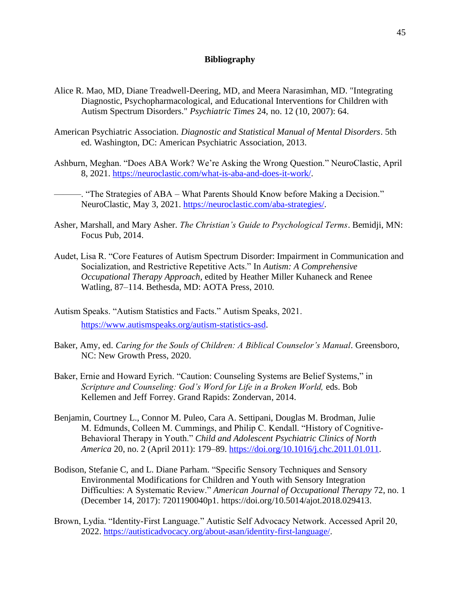## **Bibliography**

- Alice R. Mao, MD, Diane Treadwell-Deering, MD, and Meera Narasimhan, MD. "Integrating Diagnostic, Psychopharmacological, and Educational Interventions for Children with Autism Spectrum Disorders." *Psychiatric Times* 24, no. 12 (10, 2007): 64.
- American Psychiatric Association. *Diagnostic and Statistical Manual of Mental Disorders*. 5th ed. Washington, DC: American Psychiatric Association, 2013.
- Ashburn, Meghan. "Does ABA Work? We're Asking the Wrong Question." NeuroClastic, April 8, 2021. [https://neuroclastic.com/what-is-aba-and-does-it-work/.](https://neuroclastic.com/what-is-aba-and-does-it-work/)

———. "The Strategies of ABA – What Parents Should Know before Making a Decision." NeuroClastic, May 3, 2021. [https://neuroclastic.com/aba-strategies/.](https://neuroclastic.com/aba-strategies/)

- Asher, Marshall, and Mary Asher. *The Christian's Guide to Psychological Terms*. Bemidji, MN: Focus Pub, 2014.
- Audet, Lisa R. "Core Features of Autism Spectrum Disorder: Impairment in Communication and Socialization, and Restrictive Repetitive Acts." In *Autism: A Comprehensive Occupational Therapy Approach*, edited by Heather Miller Kuhaneck and Renee Watling, 87–114. Bethesda, MD: AOTA Press, 2010.
- Autism Speaks. "Autism Statistics and Facts." Autism Speaks, 2021. [https://www.autismspeaks.org/autism-statistics-asd.](https://www.autismspeaks.org/autism-statistics-asd)
- Baker, Amy, ed. *Caring for the Souls of Children: A Biblical Counselor's Manual*. Greensboro, NC: New Growth Press, 2020.
- Baker, Ernie and Howard Eyrich. "Caution: Counseling Systems are Belief Systems," in *Scripture and Counseling: God's Word for Life in a Broken World,* eds. Bob Kellemen and Jeff Forrey. Grand Rapids: Zondervan, 2014.
- Benjamin, Courtney L., Connor M. Puleo, Cara A. Settipani, Douglas M. Brodman, Julie M. Edmunds, Colleen M. Cummings, and Philip C. Kendall. "History of Cognitive-Behavioral Therapy in Youth." *Child and Adolescent Psychiatric Clinics of North America* 20, no. 2 (April 2011): 179–89. [https://doi.org/10.1016/j.chc.2011.01.011.](https://doi.org/10.1016/j.chc.2011.01.011)
- Bodison, Stefanie C, and L. Diane Parham. "Specific Sensory Techniques and Sensory Environmental Modifications for Children and Youth with Sensory Integration Difficulties: A Systematic Review." *American Journal of Occupational Therapy* 72, no. 1 (December 14, 2017): 7201190040p1. https://doi.org/10.5014/ajot.2018.029413.
- Brown, Lydia. "Identity-First Language." Autistic Self Advocacy Network. Accessed April 20, 2022. [https://autisticadvocacy.org/about-asan/identity-first-language/.](https://autisticadvocacy.org/about-asan/identity-first-language/)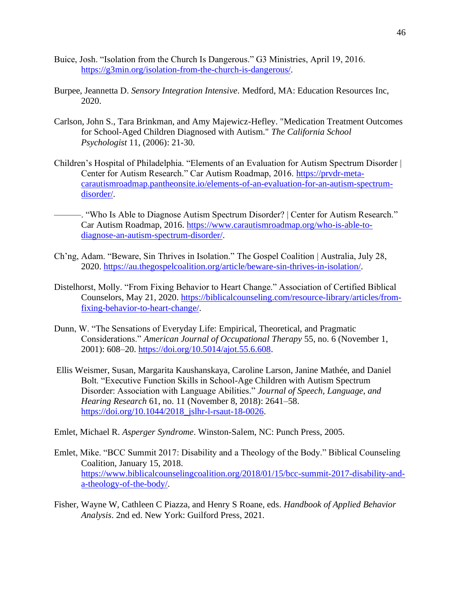- Buice, Josh. "Isolation from the Church Is Dangerous." G3 Ministries, April 19, 2016. [https://g3min.org/isolation-from-the-church-is-dangerous/.](https://g3min.org/isolation-from-the-church-is-dangerous/)
- Burpee, Jeannetta D. *Sensory Integration Intensive*. Medford, MA: Education Resources Inc, 2020.
- Carlson, John S., Tara Brinkman, and Amy Majewicz-Hefley. "Medication Treatment Outcomes for School-Aged Children Diagnosed with Autism." *The California School Psychologist* 11, (2006): 21-30.
- Children's Hospital of Philadelphia. "Elements of an Evaluation for Autism Spectrum Disorder | Center for Autism Research." Car Autism Roadmap, 2016. [https://prvdr-meta](https://prvdr-meta-carautismroadmap.pantheonsite.io/elements-of-an-evaluation-for-an-autism-spectrum-disorder/)[carautismroadmap.pantheonsite.io/elements-of-an-evaluation-for-an-autism-spectrum](https://prvdr-meta-carautismroadmap.pantheonsite.io/elements-of-an-evaluation-for-an-autism-spectrum-disorder/)[disorder/.](https://prvdr-meta-carautismroadmap.pantheonsite.io/elements-of-an-evaluation-for-an-autism-spectrum-disorder/)
- ———. "Who Is Able to Diagnose Autism Spectrum Disorder? | Center for Autism Research." Car Autism Roadmap, 2016. [https://www.carautismroadmap.org/who-is-able-to](https://www.carautismroadmap.org/who-is-able-to-diagnose-an-autism-spectrum-disorder/)[diagnose-an-autism-spectrum-disorder/.](https://www.carautismroadmap.org/who-is-able-to-diagnose-an-autism-spectrum-disorder/)
- Ch'ng, Adam. "Beware, Sin Thrives in Isolation." The Gospel Coalition | Australia, July 28, 2020. [https://au.thegospelcoalition.org/article/beware-sin-thrives-in-isolation/.](https://au.thegospelcoalition.org/article/beware-sin-thrives-in-isolation/)
- Distelhorst, Molly. "From Fixing Behavior to Heart Change." Association of Certified Biblical Counselors, May 21, 2020. [https://biblicalcounseling.com/resource-library/articles/from](https://biblicalcounseling.com/resource-library/articles/from-fixing-behavior-to-heart-change/)[fixing-behavior-to-heart-change/.](https://biblicalcounseling.com/resource-library/articles/from-fixing-behavior-to-heart-change/)
- Dunn, W. "The Sensations of Everyday Life: Empirical, Theoretical, and Pragmatic Considerations." *American Journal of Occupational Therapy* 55, no. 6 (November 1, 2001): 608–20. [https://doi.org/10.5014/ajot.55.6.608.](https://doi.org/10.5014/ajot.55.6.608)
- Ellis Weismer, Susan, Margarita Kaushanskaya, Caroline Larson, Janine Mathée, and Daniel Bolt. "Executive Function Skills in School-Age Children with Autism Spectrum Disorder: Association with Language Abilities." *Journal of Speech, Language, and Hearing Research* 61, no. 11 (November 8, 2018): 2641–58. [https://doi.org/10.1044/2018\\_jslhr-l-rsaut-18-0026.](https://doi.org/10.1044/2018_jslhr-l-rsaut-18-0026)
- Emlet, Michael R. *Asperger Syndrome*. Winston-Salem, NC: Punch Press, 2005.
- Emlet, Mike. "BCC Summit 2017: Disability and a Theology of the Body." Biblical Counseling Coalition, January 15, 2018. [https://www.biblicalcounselingcoalition.org/2018/01/15/bcc-summit-2017-disability-and](https://www.biblicalcounselingcoalition.org/2018/01/15/bcc-summit-2017-disability-and-a-theology-of-the-body/)[a-theology-of-the-body/.](https://www.biblicalcounselingcoalition.org/2018/01/15/bcc-summit-2017-disability-and-a-theology-of-the-body/)
- Fisher, Wayne W, Cathleen C Piazza, and Henry S Roane, eds. *Handbook of Applied Behavior Analysis*. 2nd ed. New York: Guilford Press, 2021.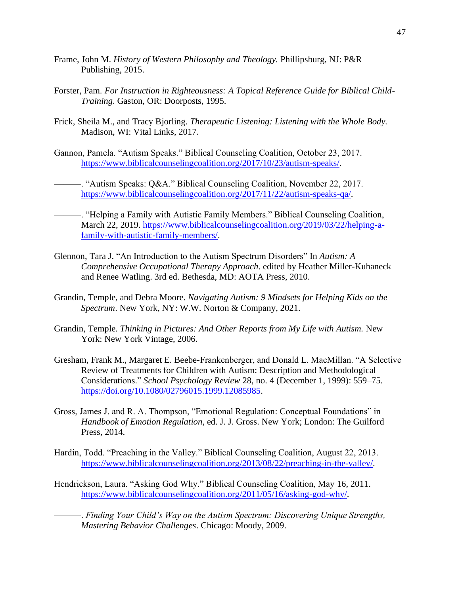- Frame, John M. *History of Western Philosophy and Theology.* Phillipsburg, NJ: P&R Publishing, 2015.
- Forster, Pam. *For Instruction in Righteousness: A Topical Reference Guide for Biblical Child-Training*. Gaston, OR: Doorposts, 1995.
- Frick, Sheila M., and Tracy Bjorling. *Therapeutic Listening: Listening with the Whole Body.* Madison, WI: Vital Links, 2017.
- Gannon, Pamela. "Autism Speaks." Biblical Counseling Coalition, October 23, 2017. [https://www.biblicalcounselingcoalition.org/2017/10/23/autism-speaks/.](https://www.biblicalcounselingcoalition.org/2017/10/23/autism-speaks/)
	- ———. "Autism Speaks: Q&A." Biblical Counseling Coalition, November 22, 2017. [https://www.biblicalcounselingcoalition.org/2017/11/22/autism-speaks-qa/.](https://www.biblicalcounselingcoalition.org/2017/11/22/autism-speaks-qa/)
- ———. "Helping a Family with Autistic Family Members." Biblical Counseling Coalition, March 22, 2019. [https://www.biblicalcounselingcoalition.org/2019/03/22/helping-a](https://www.biblicalcounselingcoalition.org/2019/03/22/helping-a-family-with-autistic-family-members/)[family-with-autistic-family-members/.](https://www.biblicalcounselingcoalition.org/2019/03/22/helping-a-family-with-autistic-family-members/)
- Glennon, Tara J. "An Introduction to the Autism Spectrum Disorders" In *Autism: A Comprehensive Occupational Therapy Approach*. edited by Heather Miller-Kuhaneck and Renee Watling. 3rd ed. Bethesda, MD: AOTA Press, 2010.
- Grandin, Temple, and Debra Moore. *Navigating Autism: 9 Mindsets for Helping Kids on the Spectrum*. New York, NY: W.W. Norton & Company, 2021.
- Grandin, Temple. *Thinking in Pictures: And Other Reports from My Life with Autism.* New York: New York Vintage, 2006.
- Gresham, Frank M., Margaret E. Beebe-Frankenberger, and Donald L. MacMillan. "A Selective Review of Treatments for Children with Autism: Description and Methodological Considerations." *School Psychology Review* 28, no. 4 (December 1, 1999): 559–75. [https://doi.org/10.1080/02796015.1999.12085985.](https://doi.org/10.1080/02796015.1999.12085985)
- Gross, James J. and R. A. Thompson, "Emotional Regulation: Conceptual Foundations" in *Handbook of Emotion Regulation*, ed. J. J. Gross. New York; London: The Guilford Press, 2014.
- Hardin, Todd. "Preaching in the Valley." Biblical Counseling Coalition, August 22, 2013. [https://www.biblicalcounselingcoalition.org/2013/08/22/preaching-in-the-valley/.](https://www.biblicalcounselingcoalition.org/2013/08/22/preaching-in-the-valley/)
- Hendrickson, Laura. "Asking God Why." Biblical Counseling Coalition, May 16, 2011. [https://www.biblicalcounselingcoalition.org/2011/05/16/asking-god-why/.](https://www.biblicalcounselingcoalition.org/2011/05/16/asking-god-why/)

-. Finding Your Child's Way on the Autism Spectrum: Discovering Unique Strengths, *Mastering Behavior Challenges*. Chicago: Moody, 2009.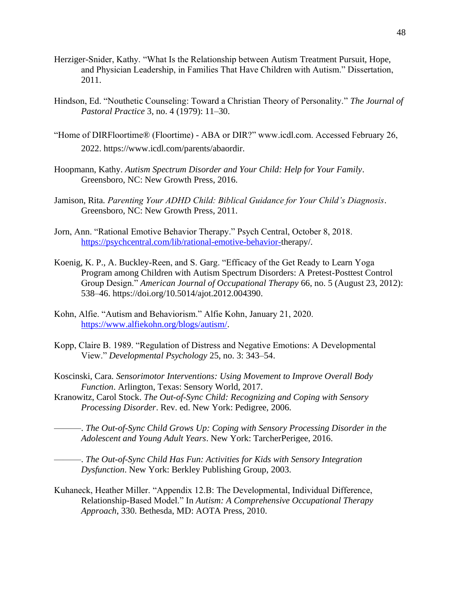- Herziger-Snider, Kathy. "What Is the Relationship between Autism Treatment Pursuit, Hope, and Physician Leadership, in Families That Have Children with Autism." Dissertation, 2011.
- Hindson, Ed. "Nouthetic Counseling: Toward a Christian Theory of Personality." *The Journal of Pastoral Practice* 3, no. 4 (1979): 11–30.
- "Home of DIRFloortime® (Floortime) ABA or DIR?" www.icdl.com. Accessed February 26, 2022. https://www.icdl.com/parents/abaordir.
- Hoopmann, Kathy. *Autism Spectrum Disorder and Your Child: Help for Your Family*. Greensboro, NC: New Growth Press, 2016.
- Jamison, Rita. *Parenting Your ADHD Child: Biblical Guidance for Your Child's Diagnosis*. Greensboro, NC: New Growth Press, 2011.
- Jorn, Ann. "Rational Emotive Behavior Therapy." Psych Central, October 8, 2018. [https://psychcentral.com/lib/rational-emotive-behavior-t](https://psychcentral.com/lib/rational-emotive-behavior-)herapy/.
- Koenig, K. P., A. Buckley-Reen, and S. Garg. "Efficacy of the Get Ready to Learn Yoga Program among Children with Autism Spectrum Disorders: A Pretest-Posttest Control Group Design." *American Journal of Occupational Therapy* 66, no. 5 (August 23, 2012): 538–46. https://doi.org/10.5014/ajot.2012.004390.
- Kohn, Alfie. "Autism and Behaviorism." Alfie Kohn, January 21, 2020. [https://www.alfiekohn.org/blogs/autism/.](https://www.alfiekohn.org/blogs/autism/)
- Kopp, Claire B. 1989. "Regulation of Distress and Negative Emotions: A Developmental View." *Developmental Psychology* 25, no. 3: 343–54.
- Koscinski, Cara. *Sensorimotor Interventions: Using Movement to Improve Overall Body Function*. Arlington, Texas: Sensory World, 2017.
- Kranowitz, Carol Stock. *The Out-of-Sync Child: Recognizing and Coping with Sensory Processing Disorder*. Rev. ed. New York: Pedigree, 2006.

———. *The Out-of-Sync Child Grows Up: Coping with Sensory Processing Disorder in the Adolescent and Young Adult Years*. New York: TarcherPerigee, 2016.

———. *The Out-of-Sync Child Has Fun: Activities for Kids with Sensory Integration Dysfunction*. New York: Berkley Publishing Group, 2003.

Kuhaneck, Heather Miller. "Appendix 12.B: The Developmental, Individual Difference, Relationship-Based Model." In *Autism: A Comprehensive Occupational Therapy Approach*, 330. Bethesda, MD: AOTA Press, 2010.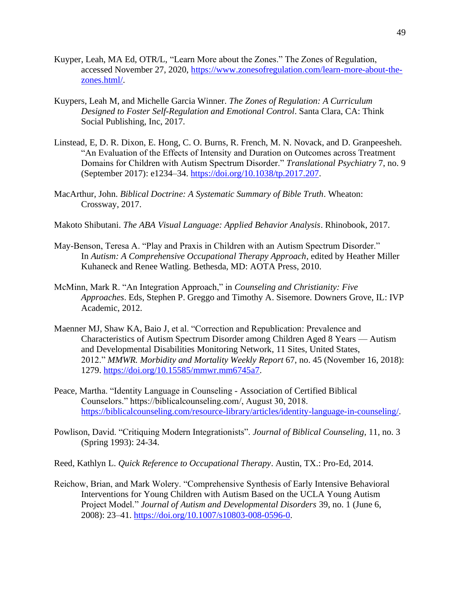- Kuyper, Leah, MA Ed, OTR/L, "Learn More about the Zones." The Zones of Regulation, accessed November 27, 2020, [https://www.zonesofregulation.com/learn-more-about-the](https://www.zonesofregulation.com/learn-more-about-the-zones.html/)[zones.html/.](https://www.zonesofregulation.com/learn-more-about-the-zones.html/)
- Kuypers, Leah M, and Michelle Garcia Winner. *The Zones of Regulation: A Curriculum Designed to Foster Self-Regulation and Emotional Control*. Santa Clara, CA: Think Social Publishing, Inc, 2017.
- Linstead, E, D. R. Dixon, E. Hong, C. O. Burns, R. French, M. N. Novack, and D. Granpeesheh. "An Evaluation of the Effects of Intensity and Duration on Outcomes across Treatment Domains for Children with Autism Spectrum Disorder." *Translational Psychiatry* 7, no. 9 (September 2017): e1234–34. [https://doi.org/10.1038/tp.2017.207.](https://doi.org/10.1038/tp.2017.207)
- MacArthur, John. *Biblical Doctrine: A Systematic Summary of Bible Truth*. Wheaton: Crossway, 2017.
- Makoto Shibutani. *The ABA Visual Language: Applied Behavior Analysis*. Rhinobook, 2017.
- May-Benson, Teresa A. "Play and Praxis in Children with an Autism Spectrum Disorder." In *Autism: A Comprehensive Occupational Therapy Approach*, edited by Heather Miller Kuhaneck and Renee Watling. Bethesda, MD: AOTA Press, 2010.
- McMinn, Mark R. "An Integration Approach," in *Counseling and Christianity: Five Approaches*. Eds, Stephen P. Greggo and Timothy A. Sisemore. Downers Grove, IL: IVP Academic, 2012.
- Maenner MJ, Shaw KA, Baio J, et al. "Correction and Republication: Prevalence and Characteristics of Autism Spectrum Disorder among Children Aged 8 Years — Autism and Developmental Disabilities Monitoring Network, 11 Sites, United States, 2012." *MMWR. Morbidity and Mortality Weekly Report* 67, no. 45 (November 16, 2018): 1279. [https://doi.org/10.15585/mmwr.mm6745a7.](https://doi.org/10.15585/mmwr.mm6745a7)
- Peace, Martha. "Identity Language in Counseling Association of Certified Biblical Counselors." https://biblicalcounseling.com/, August 30, 2018. [https://biblicalcounseling.com/resource-library/articles/identity-language-in-counseling/.](https://biblicalcounseling.com/resource-library/articles/identity-language-in-counseling/)
- Powlison, David. "Critiquing Modern Integrationists". *Journal of Biblical Counseling*, 11, no. 3 (Spring 1993): 24-34.
- Reed, Kathlyn L. *Quick Reference to Occupational Therapy*. Austin, TX.: Pro-Ed, 2014.
- Reichow, Brian, and Mark Wolery. "Comprehensive Synthesis of Early Intensive Behavioral Interventions for Young Children with Autism Based on the UCLA Young Autism Project Model." *Journal of Autism and Developmental Disorders* 39, no. 1 (June 6, 2008): 23–41. [https://doi.org/10.1007/s10803-008-0596-0.](https://doi.org/10.1007/s10803-008-0596-0)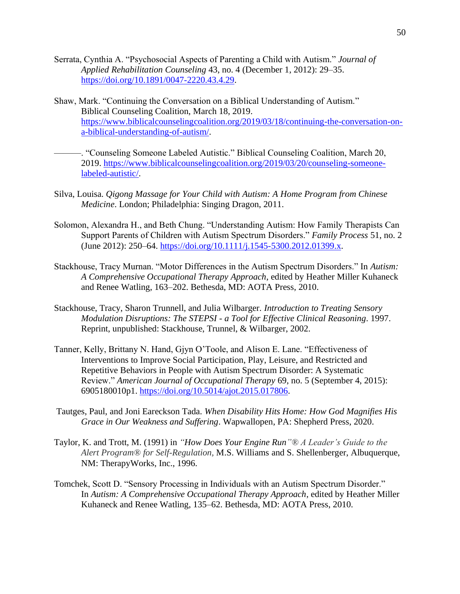- Serrata, Cynthia A. "Psychosocial Aspects of Parenting a Child with Autism." *Journal of Applied Rehabilitation Counseling* 43, no. 4 (December 1, 2012): 29–35. [https://doi.org/10.1891/0047-2220.43.4.29.](https://doi.org/10.1891/0047-2220.43.4.29)
- Shaw, Mark. "Continuing the Conversation on a Biblical Understanding of Autism." Biblical Counseling Coalition, March 18, 2019. [https://www.biblicalcounselingcoalition.org/2019/03/18/continuing-the-conversation-on](https://www.biblicalcounselingcoalition.org/2019/03/18/continuing-the-conversation-on-a-biblical-understanding-of-autism/)[a-biblical-understanding-of-autism/.](https://www.biblicalcounselingcoalition.org/2019/03/18/continuing-the-conversation-on-a-biblical-understanding-of-autism/)
	- ———. "Counseling Someone Labeled Autistic." Biblical Counseling Coalition, March 20, 2019. [https://www.biblicalcounselingcoalition.org/2019/03/20/counseling-someone](https://www.biblicalcounselingcoalition.org/2019/03/20/counseling-someone-labeled-autistic/)[labeled-autistic/.](https://www.biblicalcounselingcoalition.org/2019/03/20/counseling-someone-labeled-autistic/)
- Silva, Louisa. *Qigong Massage for Your Child with Autism: A Home Program from Chinese Medicine*. London; Philadelphia: Singing Dragon, 2011.
- Solomon, Alexandra H., and Beth Chung. "Understanding Autism: How Family Therapists Can Support Parents of Children with Autism Spectrum Disorders." *Family Process* 51, no. 2 (June 2012): 250–64. [https://doi.org/10.1111/j.1545-5300.2012.01399.x.](https://doi.org/10.1111/j.1545-5300.2012.01399.x)
- Stackhouse, Tracy Murnan. "Motor Differences in the Autism Spectrum Disorders." In *Autism: A Comprehensive Occupational Therapy Approach*, edited by Heather Miller Kuhaneck and Renee Watling, 163–202. Bethesda, MD: AOTA Press, 2010.
- Stackhouse, Tracy, Sharon Trunnell, and Julia Wilbarger. *Introduction to Treating Sensory Modulation Disruptions: The STEPSI - a Tool for Effective Clinical Reasoning*. 1997. Reprint, unpublished: Stackhouse, Trunnel, & Wilbarger, 2002.
- Tanner, Kelly, Brittany N. Hand, Gjyn O'Toole, and Alison E. Lane. "Effectiveness of Interventions to Improve Social Participation, Play, Leisure, and Restricted and Repetitive Behaviors in People with Autism Spectrum Disorder: A Systematic Review." *American Journal of Occupational Therapy* 69, no. 5 (September 4, 2015): 6905180010p1. [https://doi.org/10.5014/ajot.2015.017806.](https://doi.org/10.5014/ajot.2015.017806)
- Tautges, Paul, and Joni Eareckson Tada. *When Disability Hits Home: How God Magnifies His Grace in Our Weakness and Suffering*. Wapwallopen, PA: Shepherd Press, 2020.
- Taylor, K. and Trott, M. (1991) in *"How Does Your Engine Run"® A Leader's Guide to the Alert Program® for Self-Regulation,* M.S. Williams and S. Shellenberger, Albuquerque, NM: TherapyWorks, Inc., 1996.
- Tomchek, Scott D. "Sensory Processing in Individuals with an Autism Spectrum Disorder." In *Autism: A Comprehensive Occupational Therapy Approach*, edited by Heather Miller Kuhaneck and Renee Watling, 135–62. Bethesda, MD: AOTA Press, 2010.